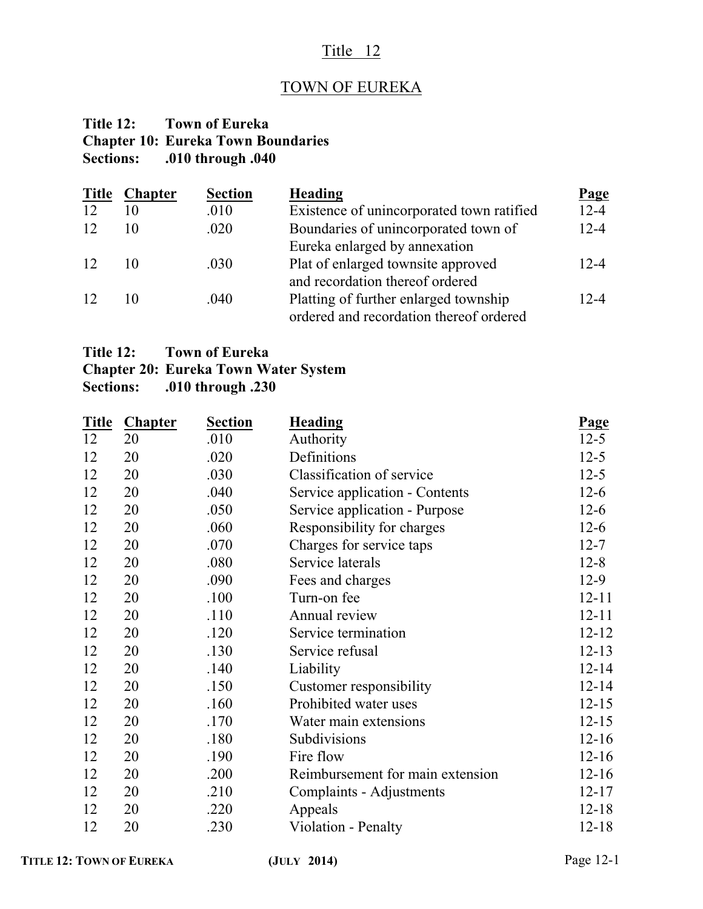### Title 12

### TOWN OF EUREKA

### **Title 12: Town of Eureka Chapter 10: Eureka Town Boundaries Sections: .010 through .040**

| <b>Title</b> | <b>Chapter</b> | <b>Section</b> | Heading                                   | <b>Page</b> |
|--------------|----------------|----------------|-------------------------------------------|-------------|
| 12           | 10             | .010           | Existence of unincorporated town ratified | $12 - 4$    |
| 12           | 10             | .020           | Boundaries of unincorporated town of      | $12 - 4$    |
|              |                |                | Eureka enlarged by annexation             |             |
| 12           | 10             | .030           | Plat of enlarged townsite approved        | $12 - 4$    |
|              |                |                | and recordation thereof ordered           |             |
| 12           | 10             | .040           | Platting of further enlarged township     | 12-4        |
|              |                |                | ordered and recordation thereof ordered   |             |

#### **Title 12: Town of Eureka**

## **Chapter 20: Eureka Town Water System**

**Sections: .010 through .230**

| <b>Title</b> | <b>Chapter</b> | <b>Section</b> | <b>Heading</b>                   | Page      |
|--------------|----------------|----------------|----------------------------------|-----------|
| 12           | 20             | .010           | Authority                        | $12 - 5$  |
| 12           | 20             | .020           | Definitions                      | $12 - 5$  |
| 12           | 20             | .030           | Classification of service        | $12 - 5$  |
| 12           | 20             | .040           | Service application - Contents   | $12-6$    |
| 12           | 20             | .050           | Service application - Purpose    | $12-6$    |
| 12           | 20             | .060           | Responsibility for charges       | $12-6$    |
| 12           | 20             | .070           | Charges for service taps         | $12 - 7$  |
| 12           | 20             | .080           | Service laterals                 | $12 - 8$  |
| 12           | 20             | .090           | Fees and charges                 | $12-9$    |
| 12           | 20             | .100           | Turn-on fee                      | $12 - 11$ |
| 12           | 20             | .110           | Annual review                    | $12 - 11$ |
| 12           | 20             | .120           | Service termination              | $12 - 12$ |
| 12           | 20             | .130           | Service refusal                  | $12 - 13$ |
| 12           | 20             | .140           | Liability                        | $12 - 14$ |
| 12           | 20             | .150           | Customer responsibility          | $12 - 14$ |
| 12           | 20             | .160           | Prohibited water uses            | $12 - 15$ |
| 12           | 20             | .170           | Water main extensions            | $12 - 15$ |
| 12           | 20             | .180           | Subdivisions                     | $12 - 16$ |
| 12           | 20             | .190           | Fire flow                        | $12 - 16$ |
| 12           | 20             | .200           | Reimbursement for main extension | $12 - 16$ |
| 12           | 20             | .210           | Complaints - Adjustments         | $12 - 17$ |
| 12           | 20             | .220           | Appeals                          | $12 - 18$ |
| 12           | 20             | .230           | Violation - Penalty              | $12 - 18$ |
|              |                |                |                                  |           |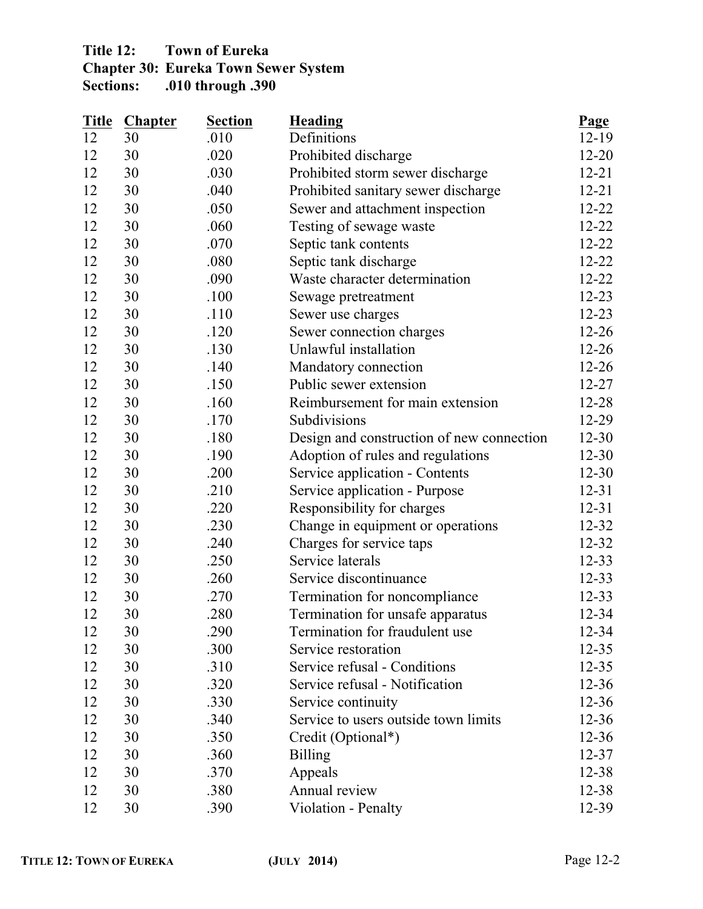### **Title 12: Town of Eureka Chapter 30: Eureka Town Sewer System Sections: .010 through .390**

| <b>Title</b> | <b>Chapter</b> | <b>Section</b> | <b>Heading</b>                            | Page      |
|--------------|----------------|----------------|-------------------------------------------|-----------|
| 12           | 30             | .010           | Definitions                               | $12 - 19$ |
| 12           | 30             | .020           | Prohibited discharge                      | $12 - 20$ |
| 12           | 30             | .030           | Prohibited storm sewer discharge          | $12 - 21$ |
| 12           | 30             | .040           | Prohibited sanitary sewer discharge       | $12 - 21$ |
| 12           | 30             | .050           | Sewer and attachment inspection           | $12 - 22$ |
| 12           | 30             | .060           | Testing of sewage waste                   | $12 - 22$ |
| 12           | 30             | .070           | Septic tank contents                      | $12 - 22$ |
| 12           | 30             | .080           | Septic tank discharge                     | $12 - 22$ |
| 12           | 30             | .090           | Waste character determination             | $12 - 22$ |
| 12           | 30             | .100           | Sewage pretreatment                       | $12 - 23$ |
| 12           | 30             | .110           | Sewer use charges                         | $12 - 23$ |
| 12           | 30             | .120           | Sewer connection charges                  | $12 - 26$ |
| 12           | 30             | .130           | Unlawful installation                     | $12 - 26$ |
| 12           | 30             | .140           | Mandatory connection                      | $12 - 26$ |
| 12           | 30             | .150           | Public sewer extension                    | $12 - 27$ |
| 12           | 30             | .160           | Reimbursement for main extension          | 12-28     |
| 12           | 30             | .170           | Subdivisions                              | 12-29     |
| 12           | 30             | .180           | Design and construction of new connection | $12 - 30$ |
| 12           | 30             | .190           | Adoption of rules and regulations         | $12 - 30$ |
| 12           | 30             | .200           | Service application - Contents            | $12 - 30$ |
| 12           | 30             | .210           | Service application - Purpose             | $12 - 31$ |
| 12           | 30             | .220           | Responsibility for charges                | $12 - 31$ |
| 12           | 30             | .230           | Change in equipment or operations         | $12 - 32$ |
| 12           | 30             | .240           | Charges for service taps                  | $12 - 32$ |
| 12           | 30             | .250           | Service laterals                          | $12 - 33$ |
| 12           | 30             | .260           | Service discontinuance                    | $12 - 33$ |
| 12           | 30             | .270           | Termination for noncompliance             | $12 - 33$ |
| 12           | 30             | .280           | Termination for unsafe apparatus          | 12-34     |
| 12           | 30             | .290           | Termination for fraudulent use            | 12-34     |
| 12           | 30             | .300           | Service restoration                       | $12 - 35$ |
| 12           | 30             | .310           | Service refusal - Conditions              | $12 - 35$ |
| 12           | 30             | .320           | Service refusal - Notification            | $12 - 36$ |
| 12           | 30             | .330           | Service continuity                        | $12 - 36$ |
| 12           | 30             | .340           | Service to users outside town limits      | $12 - 36$ |
| 12           | 30             | .350           | Credit (Optional*)                        | $12 - 36$ |
| 12           | 30             | .360           | <b>Billing</b>                            | $12 - 37$ |
| 12           | 30             | .370           | Appeals                                   | 12-38     |
| 12           | 30             | .380           | Annual review                             | $12 - 38$ |
| 12           | 30             | .390           | Violation - Penalty                       | 12-39     |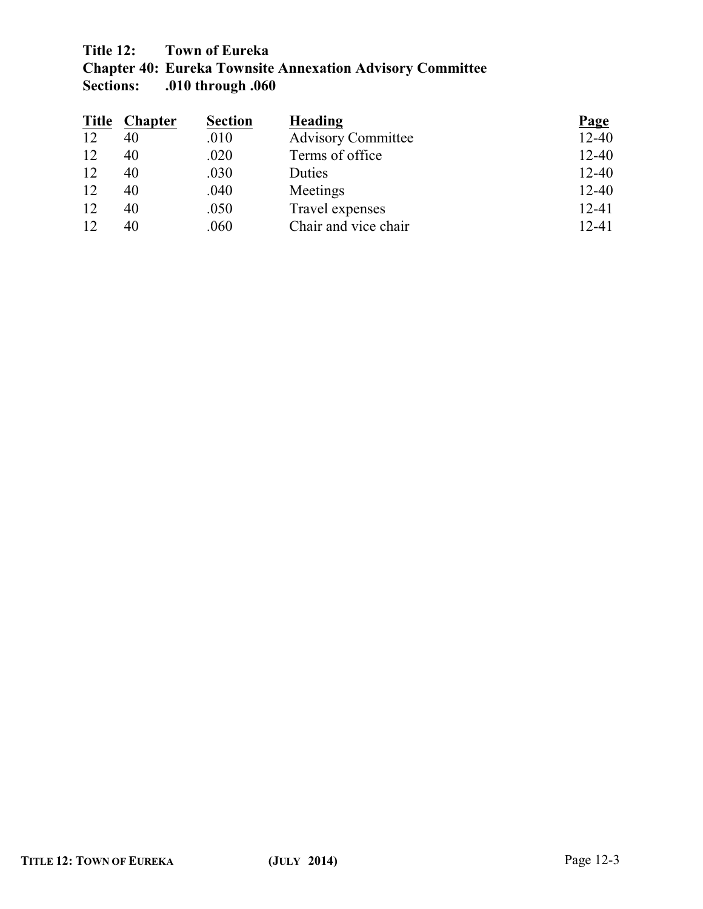# **Title 12: Town of Eureka**

**Chapter 40: Eureka Townsite Annexation Advisory Committee Sections: .010 through .060**

| <b>Title</b> | <b>Chapter</b> | <b>Section</b> | <b>Heading</b>            | <b>Page</b> |
|--------------|----------------|----------------|---------------------------|-------------|
| 12           | 40             | .010           | <b>Advisory Committee</b> | $12 - 40$   |
| 12           | 40             | .020           | Terms of office           | $12 - 40$   |
| 12           | 40             | .030           | Duties                    | $12 - 40$   |
| 12           | 40             | .040           | Meetings                  | $12 - 40$   |
| 12           | 40             | .050           | Travel expenses           | $12 - 41$   |
| 12           | 40             | .060           | Chair and vice chair      | $12 - 41$   |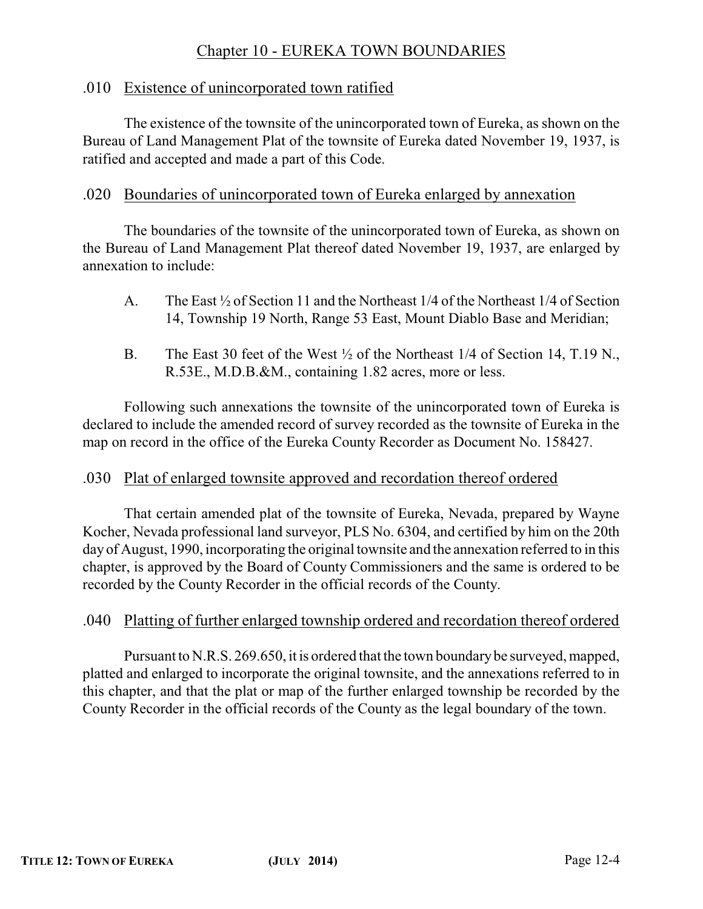### Chapter 10 - EUREKA TOWN BOUNDARIES

### .010 Existence of unincorporated town ratified

The existence of the townsite of the unincorporated town of Eureka, as shown on the Bureau of Land Management Plat of the townsite of Eureka dated November 19, 1937, is ratified and accepted and made a part of this Code.

### .020 Boundaries of unincorporated town of Eureka enlarged by annexation

The boundaries of the townsite of the unincorporated town of Eureka, as shown on the Bureau of Land Management Plat thereof dated November 19, 1937, are enlarged by annexation to include:

- A. The East ½ of Section 11 and the Northeast 1/4 of the Northeast 1/4 of Section 14, Township 19 North, Range 53 East, Mount Diablo Base and Meridian;
- B. The East 30 feet of the West ½ of the Northeast 1/4 of Section 14, T.19 N., R.53E., M.D.B.&M., containing 1.82 acres, more or less.

Following such annexations the townsite of the unincorporated town of Eureka is declared to include the amended record of survey recorded as the townsite of Eureka in the map on record in the office of the Eureka County Recorder as Document No. 158427.

### .030 Plat of enlarged townsite approved and recordation thereof ordered

That certain amended plat of the townsite of Eureka, Nevada, prepared by Wayne Kocher, Nevada professional land surveyor, PLS No. 6304, and certified by him on the 20th day of August, 1990, incorporating the original townsite and the annexation referred to in this chapter, is approved by the Board of County Commissioners and the same is ordered to be recorded by the County Recorder in the official records of the County.

### .040 Platting of further enlarged township ordered and recordation thereof ordered

Pursuant to N.R.S. 269.650, it is ordered that the town boundary be surveyed, mapped, platted and enlarged to incorporate the original townsite, and the annexations referred to in this chapter, and that the plat or map of the further enlarged township be recorded by the County Recorder in the official records of the County as the legal boundary of the town.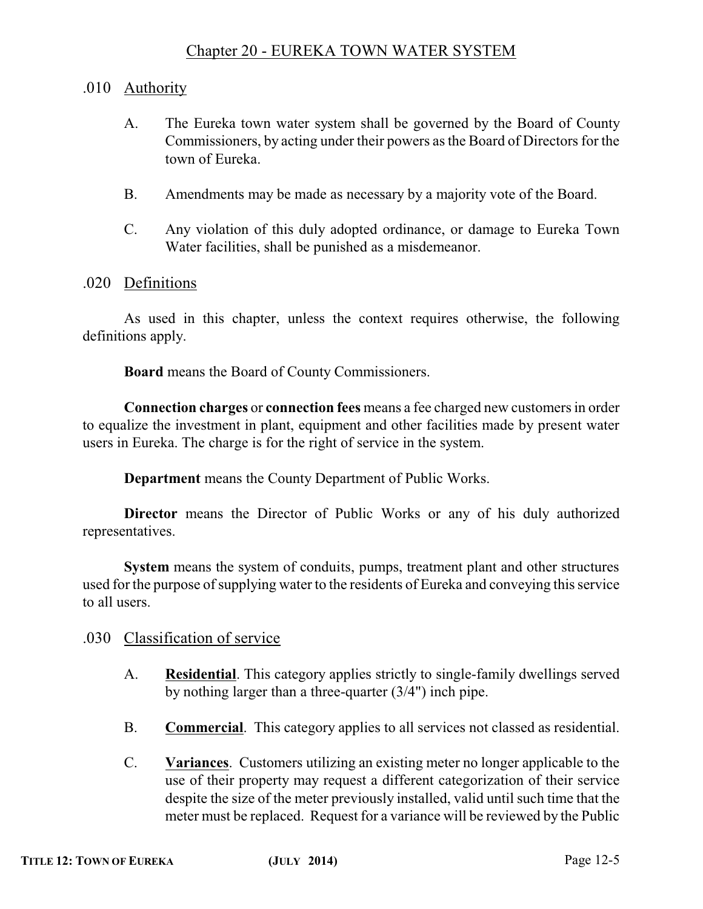### Chapter 20 - EUREKA TOWN WATER SYSTEM

### .010 Authority

- A. The Eureka town water system shall be governed by the Board of County Commissioners, by acting under their powers as the Board of Directors for the town of Eureka.
- B. Amendments may be made as necessary by a majority vote of the Board.
- C. Any violation of this duly adopted ordinance, or damage to Eureka Town Water facilities, shall be punished as a misdemeanor.

#### .020 Definitions

As used in this chapter, unless the context requires otherwise, the following definitions apply.

**Board** means the Board of County Commissioners.

**Connection charges** or **connection fees** means a fee charged new customers in order to equalize the investment in plant, equipment and other facilities made by present water users in Eureka. The charge is for the right of service in the system.

**Department** means the County Department of Public Works.

**Director** means the Director of Public Works or any of his duly authorized representatives.

**System** means the system of conduits, pumps, treatment plant and other structures used for the purpose of supplying water to the residents of Eureka and conveying this service to all users.

- .030 Classification of service
	- A. **Residential**. This category applies strictly to single-family dwellings served by nothing larger than a three-quarter (3/4") inch pipe.
	- B. **Commercial**. This category applies to all services not classed as residential.
	- C. **Variances**. Customers utilizing an existing meter no longer applicable to the use of their property may request a different categorization of their service despite the size of the meter previously installed, valid until such time that the meter must be replaced. Request for a variance will be reviewed by the Public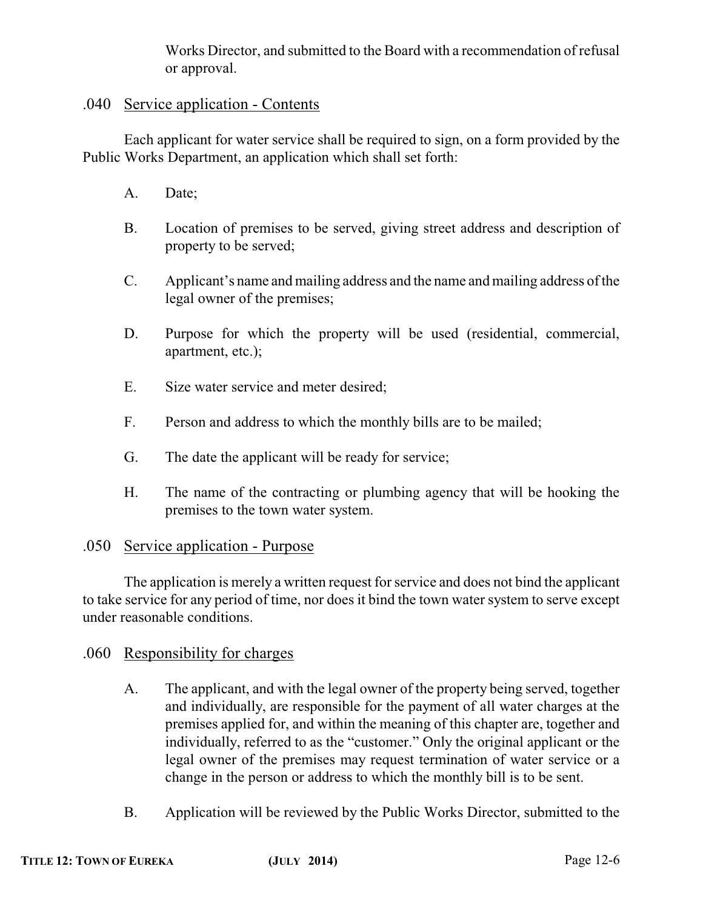Works Director, and submitted to the Board with a recommendation of refusal or approval.

### .040 Service application - Contents

Each applicant for water service shall be required to sign, on a form provided by the Public Works Department, an application which shall set forth:

- A. Date;
- B. Location of premises to be served, giving street address and description of property to be served;
- C. Applicant's name and mailing address and the name and mailing address ofthe legal owner of the premises;
- D. Purpose for which the property will be used (residential, commercial, apartment, etc.);
- E. Size water service and meter desired;
- F. Person and address to which the monthly bills are to be mailed;
- G. The date the applicant will be ready for service;
- H. The name of the contracting or plumbing agency that will be hooking the premises to the town water system.

### .050 Service application - Purpose

The application is merely a written request for service and does not bind the applicant to take service for any period of time, nor does it bind the town water system to serve except under reasonable conditions.

### .060 Responsibility for charges

- A. The applicant, and with the legal owner of the property being served, together and individually, are responsible for the payment of all water charges at the premises applied for, and within the meaning of this chapter are, together and individually, referred to as the "customer." Only the original applicant or the legal owner of the premises may request termination of water service or a change in the person or address to which the monthly bill is to be sent.
- B. Application will be reviewed by the Public Works Director, submitted to the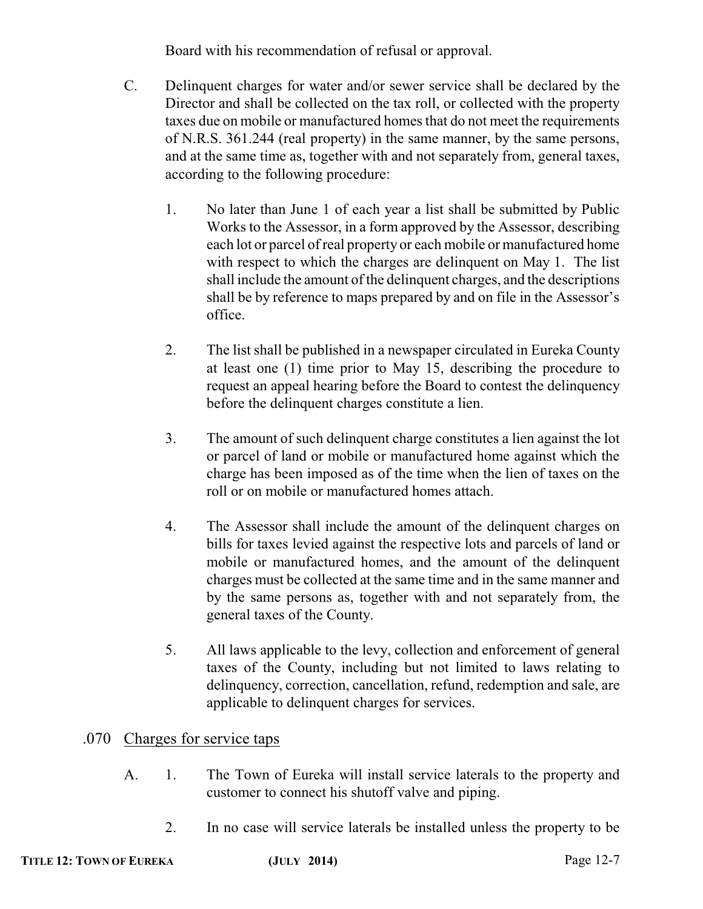Board with his recommendation of refusal or approval.

- C. Delinquent charges for water and/or sewer service shall be declared by the Director and shall be collected on the tax roll, or collected with the property taxes due on mobile or manufactured homes that do not meet the requirements of N.R.S. 361.244 (real property) in the same manner, by the same persons, and at the same time as, together with and not separately from, general taxes, according to the following procedure:
	- 1. No later than June 1 of each year a list shall be submitted by Public Works to the Assessor, in a form approved by the Assessor, describing each lot or parcel of real property or each mobile or manufactured home with respect to which the charges are delinguent on May 1. The list shall include the amount of the delinquent charges, and the descriptions shall be by reference to maps prepared by and on file in the Assessor's office.
	- 2. The list shall be published in a newspaper circulated in Eureka County at least one (1) time prior to May 15, describing the procedure to request an appeal hearing before the Board to contest the delinquency before the delinquent charges constitute a lien.
	- 3. The amount of such delinquent charge constitutes a lien against the lot or parcel of land or mobile or manufactured home against which the charge has been imposed as of the time when the lien of taxes on the roll or on mobile or manufactured homes attach.
	- 4. The Assessor shall include the amount of the delinquent charges on bills for taxes levied against the respective lots and parcels of land or mobile or manufactured homes, and the amount of the delinquent charges must be collected at the same time and in the same manner and by the same persons as, together with and not separately from, the general taxes of the County.
	- 5. All laws applicable to the levy, collection and enforcement of general taxes of the County, including but not limited to laws relating to delinquency, correction, cancellation, refund, redemption and sale, are applicable to delinquent charges for services.

### .070 Charges for service taps

- A. 1. The Town of Eureka will install service laterals to the property and customer to connect his shutoff valve and piping.
	- 2. In no case will service laterals be installed unless the property to be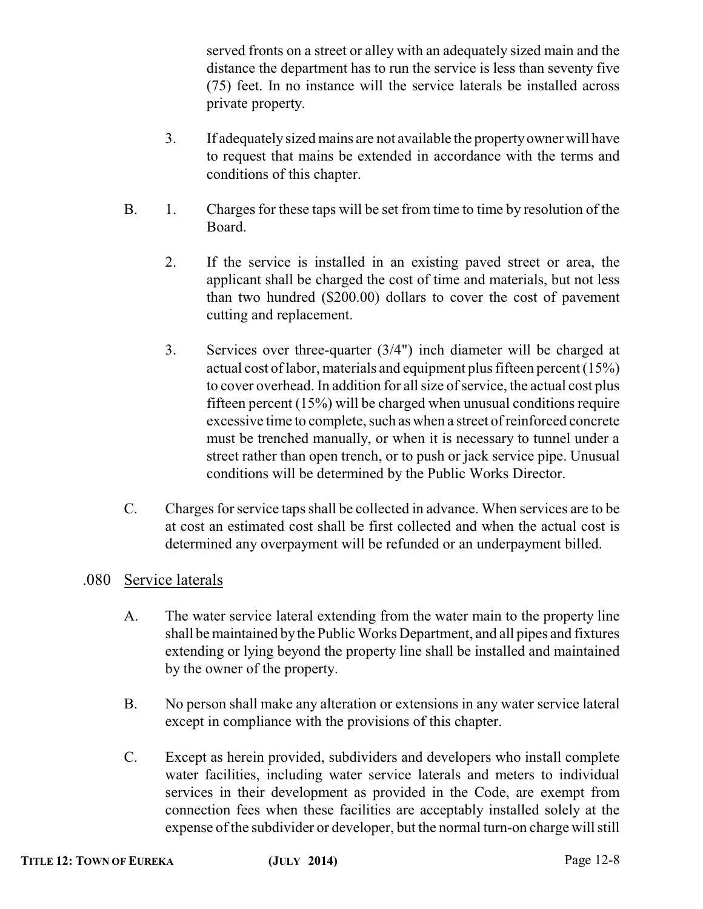served fronts on a street or alley with an adequately sized main and the distance the department has to run the service is less than seventy five (75) feet. In no instance will the service laterals be installed across private property.

- 3. If adequately sized mains are not available the property owner will have to request that mains be extended in accordance with the terms and conditions of this chapter.
- B. 1. Charges for these taps will be set from time to time by resolution of the Board.
	- 2. If the service is installed in an existing paved street or area, the applicant shall be charged the cost of time and materials, but not less than two hundred (\$200.00) dollars to cover the cost of pavement cutting and replacement.
	- 3. Services over three-quarter (3/4") inch diameter will be charged at actual cost of labor, materials and equipment plus fifteen percent (15%) to cover overhead. In addition for all size of service, the actual cost plus fifteen percent (15%) will be charged when unusual conditions require excessive time to complete, such as when a street of reinforced concrete must be trenched manually, or when it is necessary to tunnel under a street rather than open trench, or to push or jack service pipe. Unusual conditions will be determined by the Public Works Director.
- C. Charges for service taps shall be collected in advance. When services are to be at cost an estimated cost shall be first collected and when the actual cost is determined any overpayment will be refunded or an underpayment billed.

### .080 Service laterals

- A. The water service lateral extending from the water main to the property line shall be maintained bythe Public Works Department, and all pipes and fixtures extending or lying beyond the property line shall be installed and maintained by the owner of the property.
- B. No person shall make any alteration or extensions in any water service lateral except in compliance with the provisions of this chapter.
- C. Except as herein provided, subdividers and developers who install complete water facilities, including water service laterals and meters to individual services in their development as provided in the Code, are exempt from connection fees when these facilities are acceptably installed solely at the expense of the subdivider or developer, but the normal turn-on charge will still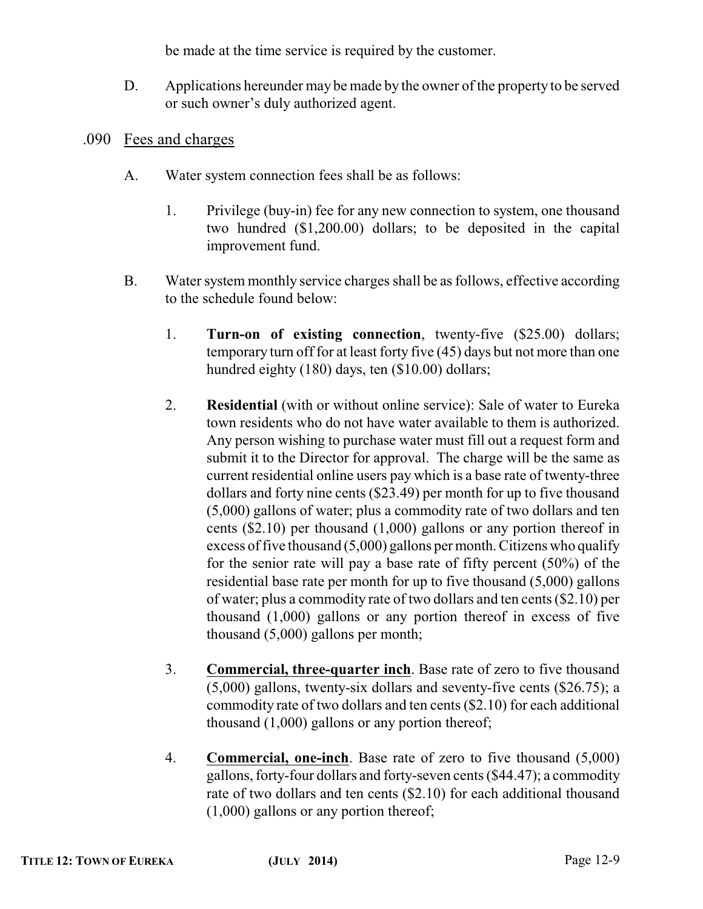be made at the time service is required by the customer.

- D. Applications hereunder may be made by the owner of the property to be served or such owner's duly authorized agent.
- .090 Fees and charges
	- A. Water system connection fees shall be as follows:
		- 1. Privilege (buy-in) fee for any new connection to system, one thousand two hundred (\$1,200.00) dollars; to be deposited in the capital improvement fund.
	- B. Water system monthly service charges shall be as follows, effective according to the schedule found below:
		- 1. **Turn-on of existing connection**, twenty-five (\$25.00) dollars; temporary turn off for at least forty five (45) days but not more than one hundred eighty (180) days, ten (\$10.00) dollars;
		- 2. **Residential** (with or without online service): Sale of water to Eureka town residents who do not have water available to them is authorized. Any person wishing to purchase water must fill out a request form and submit it to the Director for approval. The charge will be the same as current residential online users pay which is a base rate of twenty-three dollars and forty nine cents (\$23.49) per month for up to five thousand (5,000) gallons of water; plus a commodity rate of two dollars and ten cents (\$2.10) per thousand (1,000) gallons or any portion thereof in excess of five thousand  $(5,000)$  gallons per month. Citizens who qualify for the senior rate will pay a base rate of fifty percent (50%) of the residential base rate per month for up to five thousand (5,000) gallons of water; plus a commodity rate of two dollars and ten cents (\$2.10) per thousand (1,000) gallons or any portion thereof in excess of five thousand (5,000) gallons per month;
		- 3. **Commercial, three-quarter inch**. Base rate of zero to five thousand (5,000) gallons, twenty-six dollars and seventy-five cents (\$26.75); a commodity rate of two dollars and ten cents (\$2.10) for each additional thousand (1,000) gallons or any portion thereof;
		- 4. **Commercial, one-inch**. Base rate of zero to five thousand (5,000) gallons, forty-four dollars and forty-seven cents (\$44.47); a commodity rate of two dollars and ten cents (\$2.10) for each additional thousand (1,000) gallons or any portion thereof;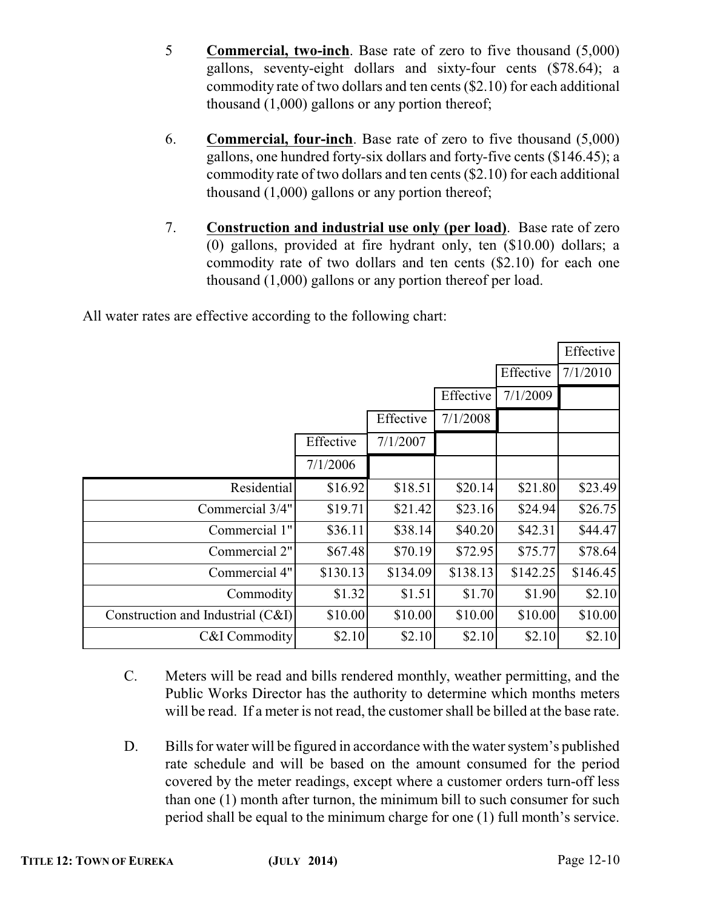- 5 **Commercial, two-inch**. Base rate of zero to five thousand (5,000) gallons, seventy-eight dollars and sixty-four cents (\$78.64); a commodity rate of two dollars and ten cents (\$2.10) for each additional thousand (1,000) gallons or any portion thereof;
- 6. **Commercial, four-inch**. Base rate of zero to five thousand (5,000) gallons, one hundred forty-six dollars and forty-five cents (\$146.45); a commodity rate of two dollars and ten cents (\$2.10) for each additional thousand (1,000) gallons or any portion thereof;
- 7. **Construction and industrial use only (per load)**. Base rate of zero (0) gallons, provided at fire hydrant only, ten (\$10.00) dollars; a commodity rate of two dollars and ten cents (\$2.10) for each one thousand (1,000) gallons or any portion thereof per load.

All water rates are effective according to the following chart:

|                                   |           |           |           |           | Effective |
|-----------------------------------|-----------|-----------|-----------|-----------|-----------|
|                                   |           |           |           | Effective | 7/1/2010  |
|                                   |           |           | Effective | 7/1/2009  |           |
|                                   |           | Effective | 7/1/2008  |           |           |
|                                   | Effective | 7/1/2007  |           |           |           |
|                                   | 7/1/2006  |           |           |           |           |
| Residential                       | \$16.92   | \$18.51   | \$20.14   | \$21.80   | \$23.49   |
| Commercial 3/4"                   | \$19.71   | \$21.42   | \$23.16   | \$24.94   | \$26.75   |
| Commercial 1"                     | \$36.11   | \$38.14   | \$40.20   | \$42.31   | \$44.47   |
| Commercial 2"                     | \$67.48   | \$70.19   | \$72.95   | \$75.77   | \$78.64   |
| Commercial 4"                     | \$130.13  | \$134.09  | \$138.13  | \$142.25  | \$146.45  |
| Commodity                         | \$1.32    | \$1.51    | \$1.70    | \$1.90    | \$2.10    |
| Construction and Industrial (C&I) | \$10.00   | \$10.00   | \$10.00   | \$10.00   | \$10.00   |
| C&I Commodity                     | \$2.10    | \$2.10    | \$2.10    | \$2.10    | \$2.10    |

- C. Meters will be read and bills rendered monthly, weather permitting, and the Public Works Director has the authority to determine which months meters will be read. If a meter is not read, the customer shall be billed at the base rate.
- D. Bills for water will be figured in accordance with the water system's published rate schedule and will be based on the amount consumed for the period covered by the meter readings, except where a customer orders turn-off less than one (1) month after turnon, the minimum bill to such consumer for such period shall be equal to the minimum charge for one (1) full month's service.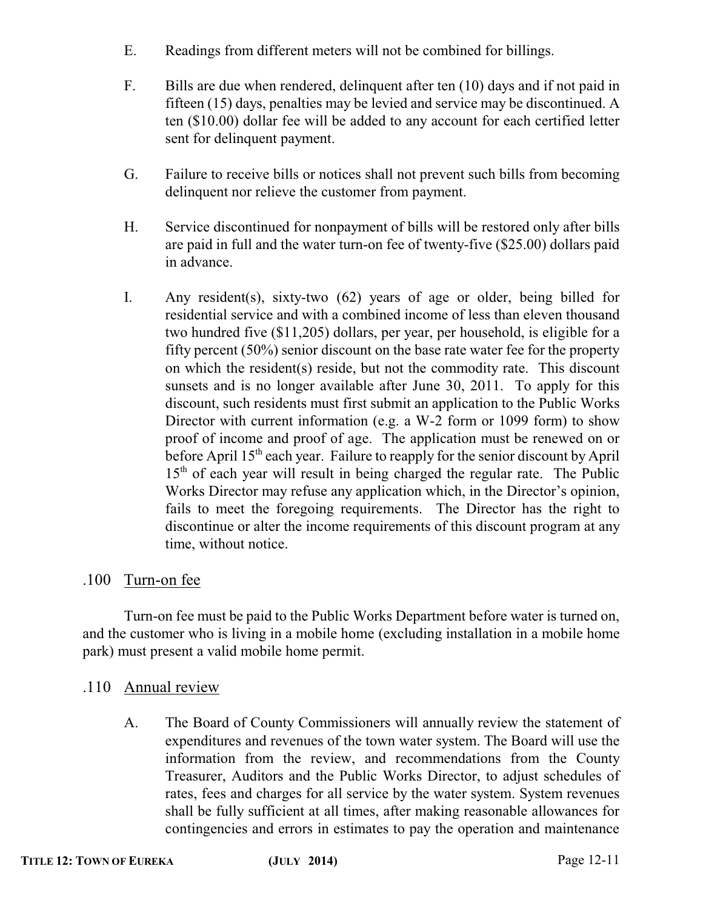- E. Readings from different meters will not be combined for billings.
- F. Bills are due when rendered, delinquent after ten (10) days and if not paid in fifteen (15) days, penalties may be levied and service may be discontinued. A ten (\$10.00) dollar fee will be added to any account for each certified letter sent for delinquent payment.
- G. Failure to receive bills or notices shall not prevent such bills from becoming delinquent nor relieve the customer from payment.
- H. Service discontinued for nonpayment of bills will be restored only after bills are paid in full and the water turn-on fee of twenty-five (\$25.00) dollars paid in advance.
- I. Any resident(s), sixty-two (62) years of age or older, being billed for residential service and with a combined income of less than eleven thousand two hundred five (\$11,205) dollars, per year, per household, is eligible for a fifty percent (50%) senior discount on the base rate water fee for the property on which the resident(s) reside, but not the commodity rate. This discount sunsets and is no longer available after June 30, 2011. To apply for this discount, such residents must first submit an application to the Public Works Director with current information (e.g. a W-2 form or 1099 form) to show proof of income and proof of age. The application must be renewed on or before April 15<sup>th</sup> each year. Failure to reapply for the senior discount by April 15<sup>th</sup> of each year will result in being charged the regular rate. The Public Works Director may refuse any application which, in the Director's opinion, fails to meet the foregoing requirements. The Director has the right to discontinue or alter the income requirements of this discount program at any time, without notice.

### .100 Turn-on fee

Turn-on fee must be paid to the Public Works Department before water is turned on, and the customer who is living in a mobile home (excluding installation in a mobile home park) must present a valid mobile home permit.

- .110 Annual review
	- A. The Board of County Commissioners will annually review the statement of expenditures and revenues of the town water system. The Board will use the information from the review, and recommendations from the County Treasurer, Auditors and the Public Works Director, to adjust schedules of rates, fees and charges for all service by the water system. System revenues shall be fully sufficient at all times, after making reasonable allowances for contingencies and errors in estimates to pay the operation and maintenance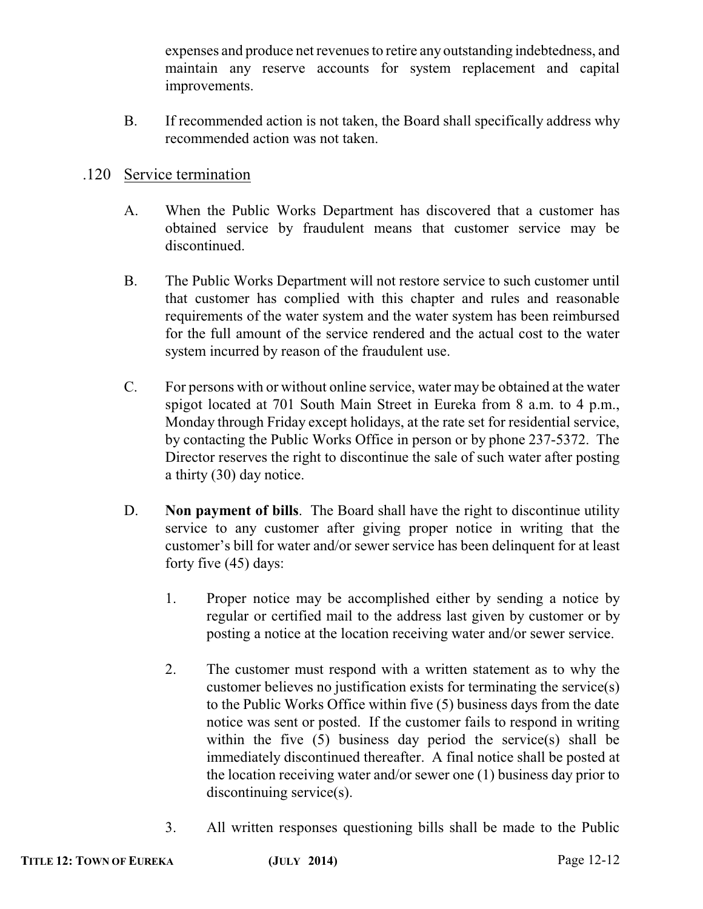expenses and produce net revenues to retire any outstanding indebtedness, and maintain any reserve accounts for system replacement and capital improvements.

B. If recommended action is not taken, the Board shall specifically address why recommended action was not taken.

#### .120 Service termination

- A. When the Public Works Department has discovered that a customer has obtained service by fraudulent means that customer service may be discontinued.
- B. The Public Works Department will not restore service to such customer until that customer has complied with this chapter and rules and reasonable requirements of the water system and the water system has been reimbursed for the full amount of the service rendered and the actual cost to the water system incurred by reason of the fraudulent use.
- C. For persons with or without online service, water may be obtained at the water spigot located at 701 South Main Street in Eureka from 8 a.m. to 4 p.m., Monday through Friday except holidays, at the rate set for residential service, by contacting the Public Works Office in person or by phone 237-5372. The Director reserves the right to discontinue the sale of such water after posting a thirty (30) day notice.
- D. **Non payment of bills**. The Board shall have the right to discontinue utility service to any customer after giving proper notice in writing that the customer's bill for water and/or sewer service has been delinquent for at least forty five (45) days:
	- 1. Proper notice may be accomplished either by sending a notice by regular or certified mail to the address last given by customer or by posting a notice at the location receiving water and/or sewer service.
	- 2. The customer must respond with a written statement as to why the customer believes no justification exists for terminating the service(s) to the Public Works Office within five (5) business days from the date notice was sent or posted. If the customer fails to respond in writing within the five (5) business day period the service(s) shall be immediately discontinued thereafter. A final notice shall be posted at the location receiving water and/or sewer one (1) business day prior to discontinuing service(s).
	- 3. All written responses questioning bills shall be made to the Public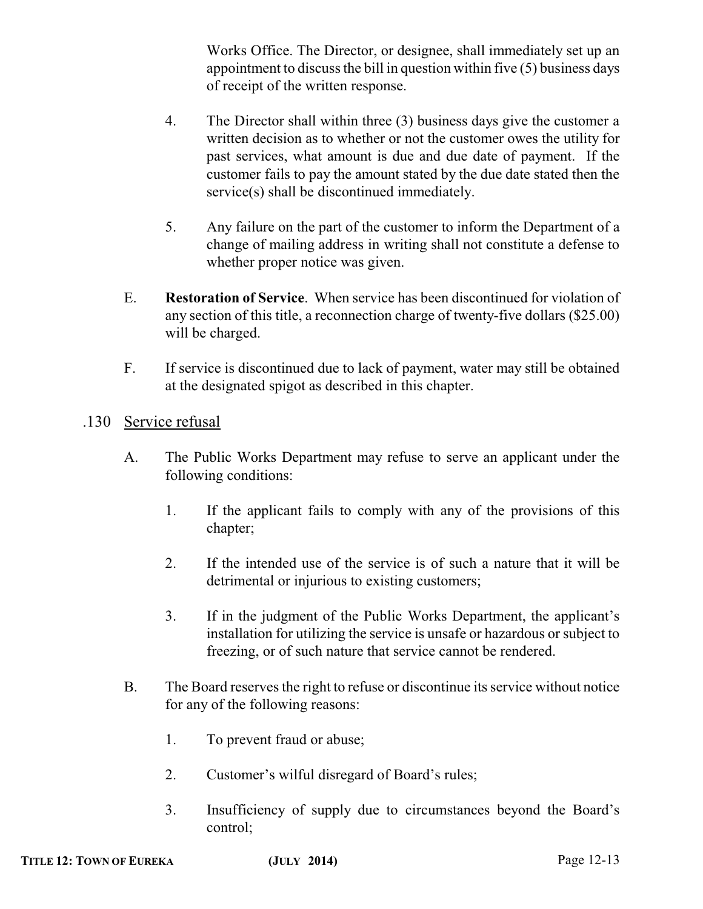Works Office. The Director, or designee, shall immediately set up an appointment to discuss the bill in question within five (5) business days of receipt of the written response.

- 4. The Director shall within three (3) business days give the customer a written decision as to whether or not the customer owes the utility for past services, what amount is due and due date of payment. If the customer fails to pay the amount stated by the due date stated then the service(s) shall be discontinued immediately.
- 5. Any failure on the part of the customer to inform the Department of a change of mailing address in writing shall not constitute a defense to whether proper notice was given.
- E. **Restoration of Service**. When service has been discontinued for violation of any section of this title, a reconnection charge of twenty-five dollars (\$25.00) will be charged.
- F. If service is discontinued due to lack of payment, water may still be obtained at the designated spigot as described in this chapter.
- .130 Service refusal
	- A. The Public Works Department may refuse to serve an applicant under the following conditions:
		- 1. If the applicant fails to comply with any of the provisions of this chapter;
		- 2. If the intended use of the service is of such a nature that it will be detrimental or injurious to existing customers;
		- 3. If in the judgment of the Public Works Department, the applicant's installation for utilizing the service is unsafe or hazardous or subject to freezing, or of such nature that service cannot be rendered.
	- B. The Board reserves the right to refuse or discontinue its service without notice for any of the following reasons:
		- 1. To prevent fraud or abuse;
		- 2. Customer's wilful disregard of Board's rules;
		- 3. Insufficiency of supply due to circumstances beyond the Board's control;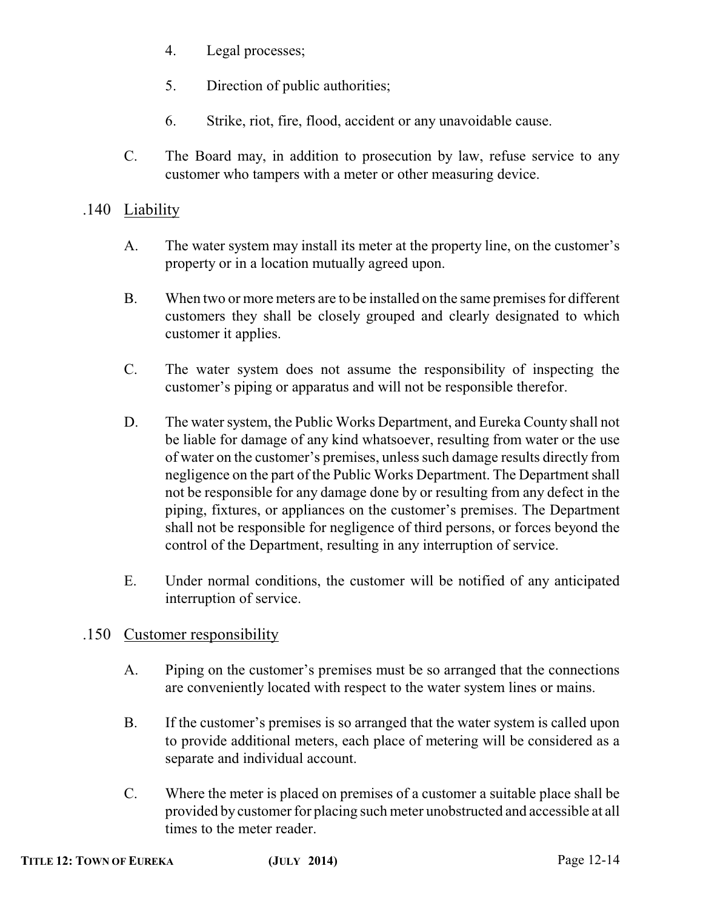- 4. Legal processes;
- 5. Direction of public authorities;
- 6. Strike, riot, fire, flood, accident or any unavoidable cause.
- C. The Board may, in addition to prosecution by law, refuse service to any customer who tampers with a meter or other measuring device.

### .140 Liability

- A. The water system may install its meter at the property line, on the customer's property or in a location mutually agreed upon.
- B. When two or more meters are to be installed on the same premises for different customers they shall be closely grouped and clearly designated to which customer it applies.
- C. The water system does not assume the responsibility of inspecting the customer's piping or apparatus and will not be responsible therefor.
- D. The water system, the Public Works Department, and Eureka County shall not be liable for damage of any kind whatsoever, resulting from water or the use of water on the customer's premises, unless such damage results directly from negligence on the part of the Public Works Department. The Department shall not be responsible for any damage done by or resulting from any defect in the piping, fixtures, or appliances on the customer's premises. The Department shall not be responsible for negligence of third persons, or forces beyond the control of the Department, resulting in any interruption of service.
- E. Under normal conditions, the customer will be notified of any anticipated interruption of service.

### .150 Customer responsibility

- A. Piping on the customer's premises must be so arranged that the connections are conveniently located with respect to the water system lines or mains.
- B. If the customer's premises is so arranged that the water system is called upon to provide additional meters, each place of metering will be considered as a separate and individual account.
- C. Where the meter is placed on premises of a customer a suitable place shall be provided by customer for placing such meter unobstructed and accessible at all times to the meter reader.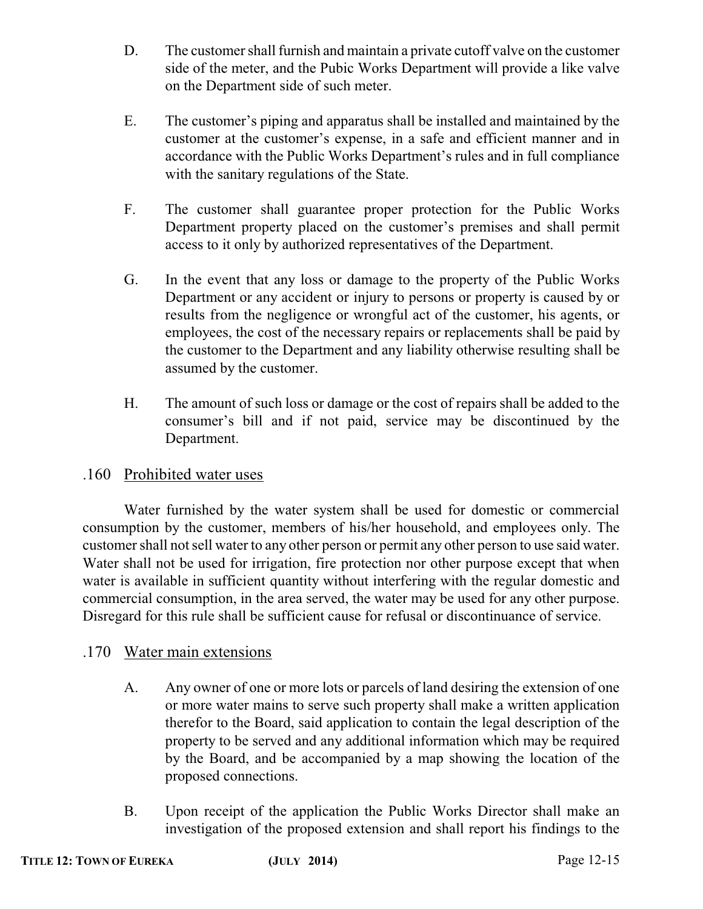- D. The customer shall furnish and maintain a private cutoff valve on the customer side of the meter, and the Pubic Works Department will provide a like valve on the Department side of such meter.
- E. The customer's piping and apparatus shall be installed and maintained by the customer at the customer's expense, in a safe and efficient manner and in accordance with the Public Works Department's rules and in full compliance with the sanitary regulations of the State.
- F. The customer shall guarantee proper protection for the Public Works Department property placed on the customer's premises and shall permit access to it only by authorized representatives of the Department.
- G. In the event that any loss or damage to the property of the Public Works Department or any accident or injury to persons or property is caused by or results from the negligence or wrongful act of the customer, his agents, or employees, the cost of the necessary repairs or replacements shall be paid by the customer to the Department and any liability otherwise resulting shall be assumed by the customer.
- H. The amount of such loss or damage or the cost of repairs shall be added to the consumer's bill and if not paid, service may be discontinued by the Department.

### .160 Prohibited water uses

Water furnished by the water system shall be used for domestic or commercial consumption by the customer, members of his/her household, and employees only. The customer shall not sell water to any other person or permit any other person to use said water. Water shall not be used for irrigation, fire protection nor other purpose except that when water is available in sufficient quantity without interfering with the regular domestic and commercial consumption, in the area served, the water may be used for any other purpose. Disregard for this rule shall be sufficient cause for refusal or discontinuance of service.

### .170 Water main extensions

- A. Any owner of one or more lots or parcels of land desiring the extension of one or more water mains to serve such property shall make a written application therefor to the Board, said application to contain the legal description of the property to be served and any additional information which may be required by the Board, and be accompanied by a map showing the location of the proposed connections.
- B. Upon receipt of the application the Public Works Director shall make an investigation of the proposed extension and shall report his findings to the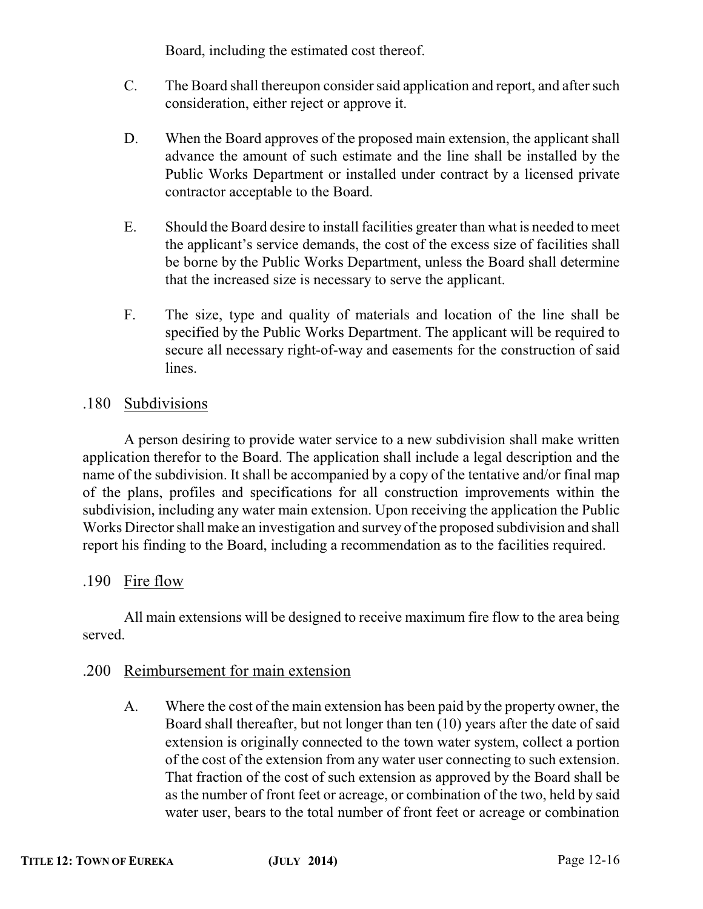Board, including the estimated cost thereof.

- C. The Board shall thereupon consider said application and report, and after such consideration, either reject or approve it.
- D. When the Board approves of the proposed main extension, the applicant shall advance the amount of such estimate and the line shall be installed by the Public Works Department or installed under contract by a licensed private contractor acceptable to the Board.
- E. Should the Board desire to install facilities greater than what is needed to meet the applicant's service demands, the cost of the excess size of facilities shall be borne by the Public Works Department, unless the Board shall determine that the increased size is necessary to serve the applicant.
- F. The size, type and quality of materials and location of the line shall be specified by the Public Works Department. The applicant will be required to secure all necessary right-of-way and easements for the construction of said lines.

### .180 Subdivisions

A person desiring to provide water service to a new subdivision shall make written application therefor to the Board. The application shall include a legal description and the name of the subdivision. It shall be accompanied by a copy of the tentative and/or final map of the plans, profiles and specifications for all construction improvements within the subdivision, including any water main extension. Upon receiving the application the Public Works Director shall make an investigation and survey of the proposed subdivision and shall report his finding to the Board, including a recommendation as to the facilities required.

### .190 Fire flow

All main extensions will be designed to receive maximum fire flow to the area being served.

### .200 Reimbursement for main extension

A. Where the cost of the main extension has been paid by the property owner, the Board shall thereafter, but not longer than ten (10) years after the date of said extension is originally connected to the town water system, collect a portion of the cost of the extension from any water user connecting to such extension. That fraction of the cost of such extension as approved by the Board shall be as the number of front feet or acreage, or combination of the two, held by said water user, bears to the total number of front feet or acreage or combination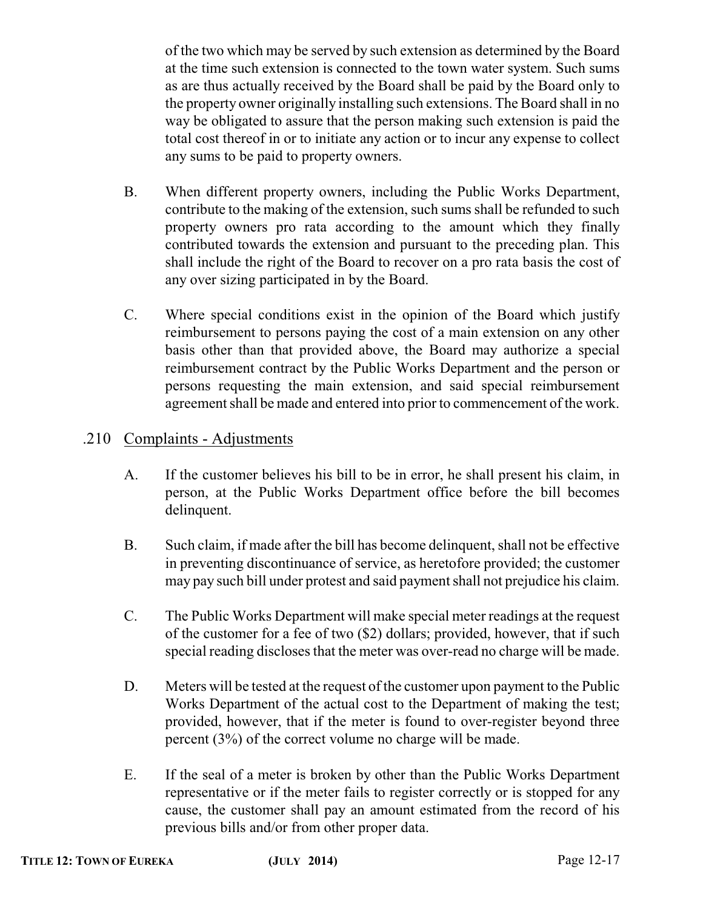of the two which may be served by such extension as determined by the Board at the time such extension is connected to the town water system. Such sums as are thus actually received by the Board shall be paid by the Board only to the property owner originally installing such extensions. The Board shall in no way be obligated to assure that the person making such extension is paid the total cost thereof in or to initiate any action or to incur any expense to collect any sums to be paid to property owners.

- B. When different property owners, including the Public Works Department, contribute to the making of the extension, such sums shall be refunded to such property owners pro rata according to the amount which they finally contributed towards the extension and pursuant to the preceding plan. This shall include the right of the Board to recover on a pro rata basis the cost of any over sizing participated in by the Board.
- C. Where special conditions exist in the opinion of the Board which justify reimbursement to persons paying the cost of a main extension on any other basis other than that provided above, the Board may authorize a special reimbursement contract by the Public Works Department and the person or persons requesting the main extension, and said special reimbursement agreement shall be made and entered into prior to commencement of the work.

### .210 Complaints - Adjustments

- A. If the customer believes his bill to be in error, he shall present his claim, in person, at the Public Works Department office before the bill becomes delinquent.
- B. Such claim, if made after the bill has become delinquent, shall not be effective in preventing discontinuance of service, as heretofore provided; the customer may pay such bill under protest and said payment shall not prejudice his claim.
- C. The Public Works Department will make special meter readings at the request of the customer for a fee of two (\$2) dollars; provided, however, that if such special reading discloses that the meter was over-read no charge will be made.
- D. Meters will be tested at the request of the customer upon payment to the Public Works Department of the actual cost to the Department of making the test; provided, however, that if the meter is found to over-register beyond three percent (3%) of the correct volume no charge will be made.
- E. If the seal of a meter is broken by other than the Public Works Department representative or if the meter fails to register correctly or is stopped for any cause, the customer shall pay an amount estimated from the record of his previous bills and/or from other proper data.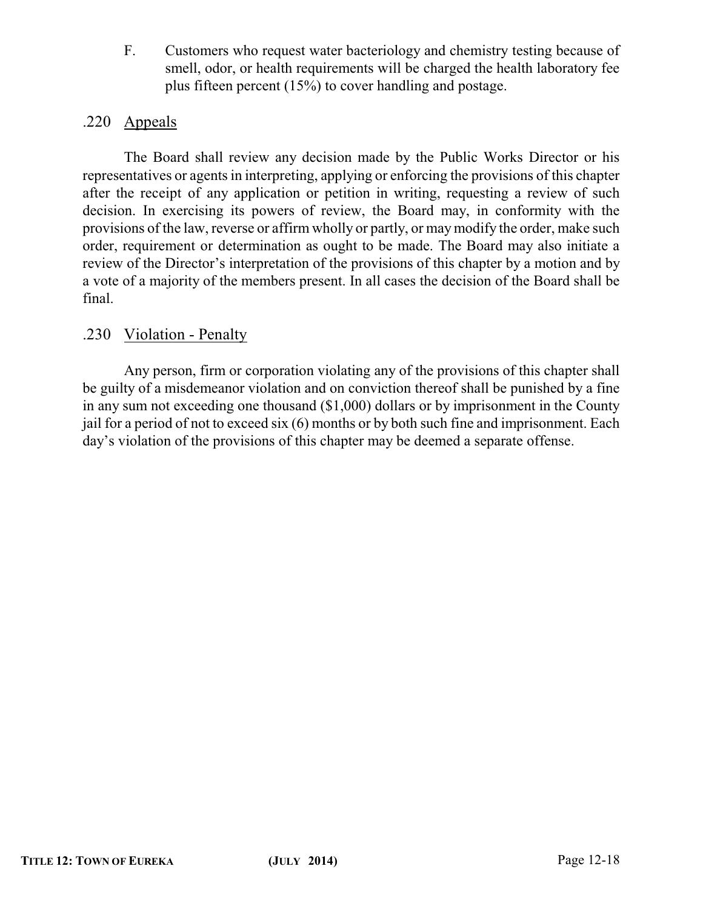F. Customers who request water bacteriology and chemistry testing because of smell, odor, or health requirements will be charged the health laboratory fee plus fifteen percent (15%) to cover handling and postage.

### .220 Appeals

The Board shall review any decision made by the Public Works Director or his representatives or agents in interpreting, applying or enforcing the provisions of this chapter after the receipt of any application or petition in writing, requesting a review of such decision. In exercising its powers of review, the Board may, in conformity with the provisions of the law, reverse or affirm wholly or partly, or maymodify the order, make such order, requirement or determination as ought to be made. The Board may also initiate a review of the Director's interpretation of the provisions of this chapter by a motion and by a vote of a majority of the members present. In all cases the decision of the Board shall be final.

### .230 Violation - Penalty

Any person, firm or corporation violating any of the provisions of this chapter shall be guilty of a misdemeanor violation and on conviction thereof shall be punished by a fine in any sum not exceeding one thousand (\$1,000) dollars or by imprisonment in the County jail for a period of not to exceed six (6) months or by both such fine and imprisonment. Each day's violation of the provisions of this chapter may be deemed a separate offense.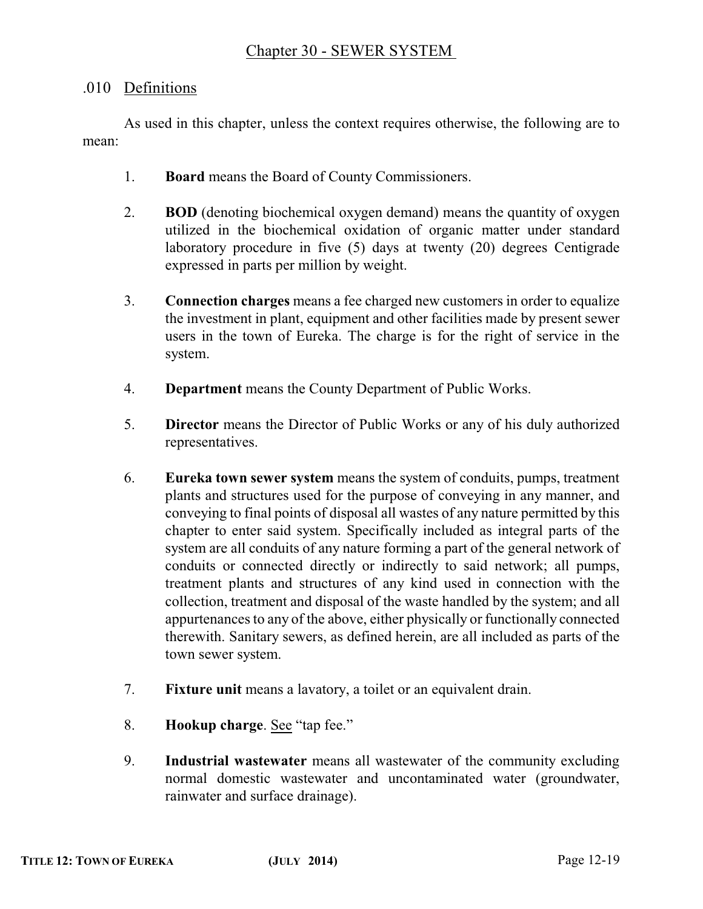### .010 Definitions

As used in this chapter, unless the context requires otherwise, the following are to mean:

- 1. **Board** means the Board of County Commissioners.
- 2. **BOD** (denoting biochemical oxygen demand) means the quantity of oxygen utilized in the biochemical oxidation of organic matter under standard laboratory procedure in five (5) days at twenty (20) degrees Centigrade expressed in parts per million by weight.
- 3. **Connection charges** means a fee charged new customers in order to equalize the investment in plant, equipment and other facilities made by present sewer users in the town of Eureka. The charge is for the right of service in the system.
- 4. **Department** means the County Department of Public Works.
- 5. **Director** means the Director of Public Works or any of his duly authorized representatives.
- 6. **Eureka town sewer system** means the system of conduits, pumps, treatment plants and structures used for the purpose of conveying in any manner, and conveying to final points of disposal all wastes of any nature permitted by this chapter to enter said system. Specifically included as integral parts of the system are all conduits of any nature forming a part of the general network of conduits or connected directly or indirectly to said network; all pumps, treatment plants and structures of any kind used in connection with the collection, treatment and disposal of the waste handled by the system; and all appurtenances to any of the above, either physically or functionally connected therewith. Sanitary sewers, as defined herein, are all included as parts of the town sewer system.
- 7. **Fixture unit** means a lavatory, a toilet or an equivalent drain.
- 8. **Hookup charge**. See "tap fee."
- 9. **Industrial wastewater** means all wastewater of the community excluding normal domestic wastewater and uncontaminated water (groundwater, rainwater and surface drainage).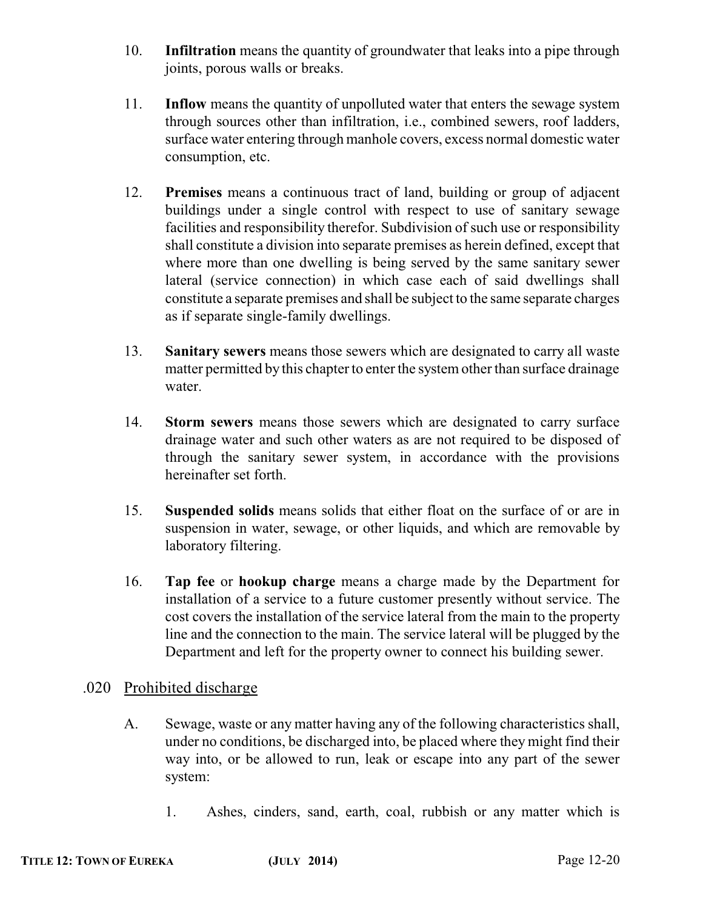- 10. **Infiltration** means the quantity of groundwater that leaks into a pipe through joints, porous walls or breaks.
- 11. **Inflow** means the quantity of unpolluted water that enters the sewage system through sources other than infiltration, i.e., combined sewers, roof ladders, surface water entering through manhole covers, excess normal domestic water consumption, etc.
- 12. **Premises** means a continuous tract of land, building or group of adjacent buildings under a single control with respect to use of sanitary sewage facilities and responsibility therefor. Subdivision of such use or responsibility shall constitute a division into separate premises as herein defined, except that where more than one dwelling is being served by the same sanitary sewer lateral (service connection) in which case each of said dwellings shall constitute a separate premises and shall be subject to the same separate charges as if separate single-family dwellings.
- 13. **Sanitary sewers** means those sewers which are designated to carry all waste matter permitted by this chapter to enter the system other than surface drainage water.
- 14. **Storm sewers** means those sewers which are designated to carry surface drainage water and such other waters as are not required to be disposed of through the sanitary sewer system, in accordance with the provisions hereinafter set forth.
- 15. **Suspended solids** means solids that either float on the surface of or are in suspension in water, sewage, or other liquids, and which are removable by laboratory filtering.
- 16. **Tap fee** or **hookup charge** means a charge made by the Department for installation of a service to a future customer presently without service. The cost covers the installation of the service lateral from the main to the property line and the connection to the main. The service lateral will be plugged by the Department and left for the property owner to connect his building sewer.

### .020 Prohibited discharge

- A. Sewage, waste or any matter having any of the following characteristics shall, under no conditions, be discharged into, be placed where they might find their way into, or be allowed to run, leak or escape into any part of the sewer system:
	- 1. Ashes, cinders, sand, earth, coal, rubbish or any matter which is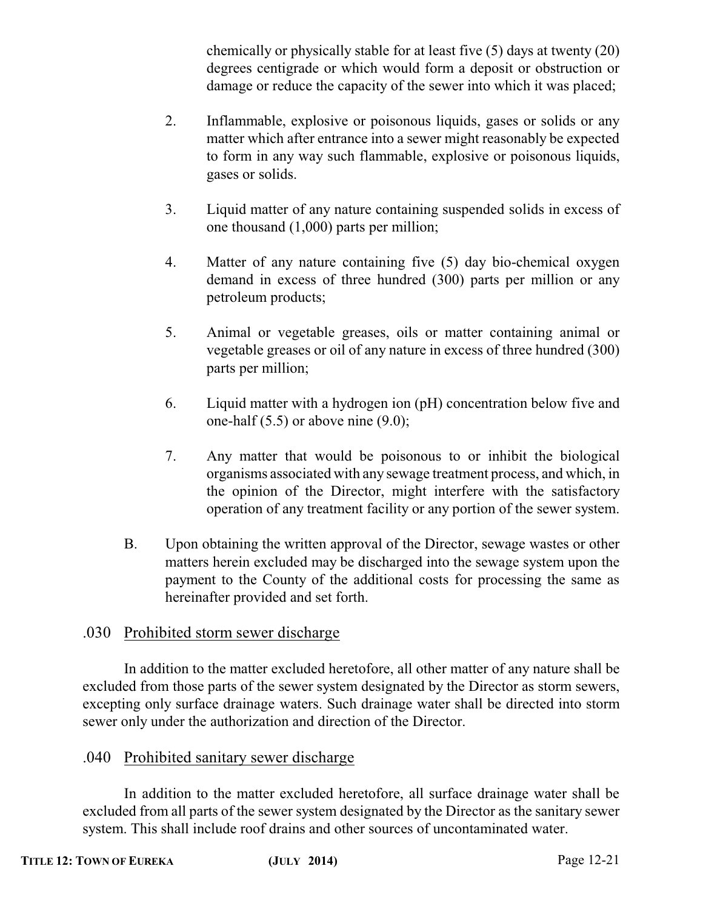chemically or physically stable for at least five (5) days at twenty (20) degrees centigrade or which would form a deposit or obstruction or damage or reduce the capacity of the sewer into which it was placed;

- 2. Inflammable, explosive or poisonous liquids, gases or solids or any matter which after entrance into a sewer might reasonably be expected to form in any way such flammable, explosive or poisonous liquids, gases or solids.
- 3. Liquid matter of any nature containing suspended solids in excess of one thousand (1,000) parts per million;
- 4. Matter of any nature containing five (5) day bio-chemical oxygen demand in excess of three hundred (300) parts per million or any petroleum products;
- 5. Animal or vegetable greases, oils or matter containing animal or vegetable greases or oil of any nature in excess of three hundred (300) parts per million;
- 6. Liquid matter with a hydrogen ion (pH) concentration below five and one-half (5.5) or above nine (9.0);
- 7. Any matter that would be poisonous to or inhibit the biological organisms associated with any sewage treatment process, and which, in the opinion of the Director, might interfere with the satisfactory operation of any treatment facility or any portion of the sewer system.
- B. Upon obtaining the written approval of the Director, sewage wastes or other matters herein excluded may be discharged into the sewage system upon the payment to the County of the additional costs for processing the same as hereinafter provided and set forth.

### .030 Prohibited storm sewer discharge

In addition to the matter excluded heretofore, all other matter of any nature shall be excluded from those parts of the sewer system designated by the Director as storm sewers, excepting only surface drainage waters. Such drainage water shall be directed into storm sewer only under the authorization and direction of the Director.

### .040 Prohibited sanitary sewer discharge

In addition to the matter excluded heretofore, all surface drainage water shall be excluded from all parts of the sewer system designated by the Director as the sanitary sewer system. This shall include roof drains and other sources of uncontaminated water.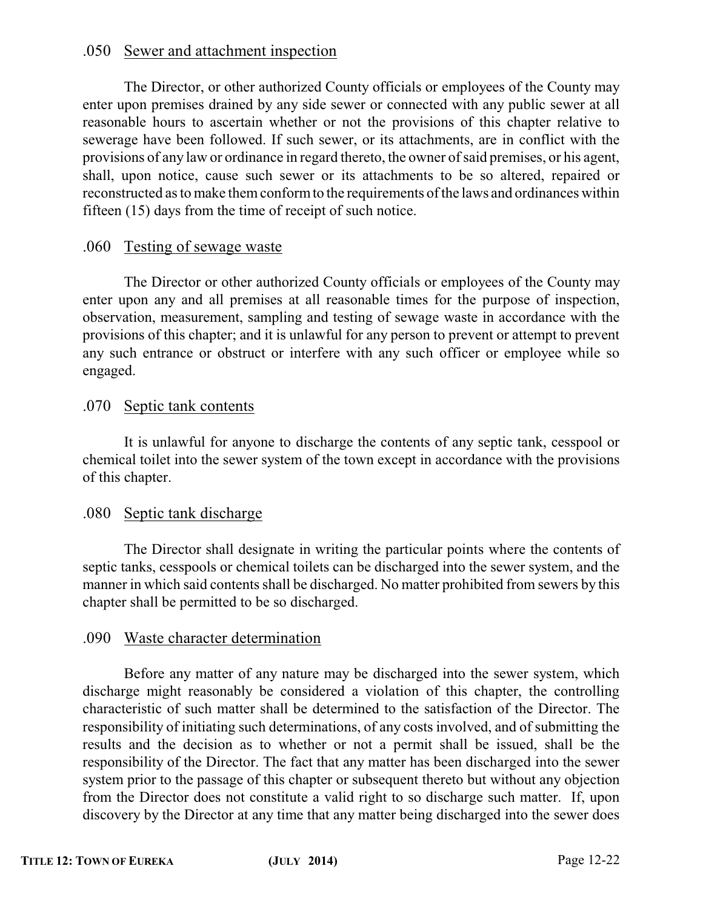#### .050 Sewer and attachment inspection

The Director, or other authorized County officials or employees of the County may enter upon premises drained by any side sewer or connected with any public sewer at all reasonable hours to ascertain whether or not the provisions of this chapter relative to sewerage have been followed. If such sewer, or its attachments, are in conflict with the provisions of any law or ordinance in regard thereto, the owner of said premises, or his agent, shall, upon notice, cause such sewer or its attachments to be so altered, repaired or reconstructed as to make them conform to the requirements of the laws and ordinances within fifteen (15) days from the time of receipt of such notice.

#### .060 Testing of sewage waste

The Director or other authorized County officials or employees of the County may enter upon any and all premises at all reasonable times for the purpose of inspection, observation, measurement, sampling and testing of sewage waste in accordance with the provisions of this chapter; and it is unlawful for any person to prevent or attempt to prevent any such entrance or obstruct or interfere with any such officer or employee while so engaged.

#### .070 Septic tank contents

It is unlawful for anyone to discharge the contents of any septic tank, cesspool or chemical toilet into the sewer system of the town except in accordance with the provisions of this chapter.

#### .080 Septic tank discharge

The Director shall designate in writing the particular points where the contents of septic tanks, cesspools or chemical toilets can be discharged into the sewer system, and the manner in which said contents shall be discharged. No matter prohibited from sewers by this chapter shall be permitted to be so discharged.

#### .090 Waste character determination

Before any matter of any nature may be discharged into the sewer system, which discharge might reasonably be considered a violation of this chapter, the controlling characteristic of such matter shall be determined to the satisfaction of the Director. The responsibility of initiating such determinations, of any costs involved, and of submitting the results and the decision as to whether or not a permit shall be issued, shall be the responsibility of the Director. The fact that any matter has been discharged into the sewer system prior to the passage of this chapter or subsequent thereto but without any objection from the Director does not constitute a valid right to so discharge such matter. If, upon discovery by the Director at any time that any matter being discharged into the sewer does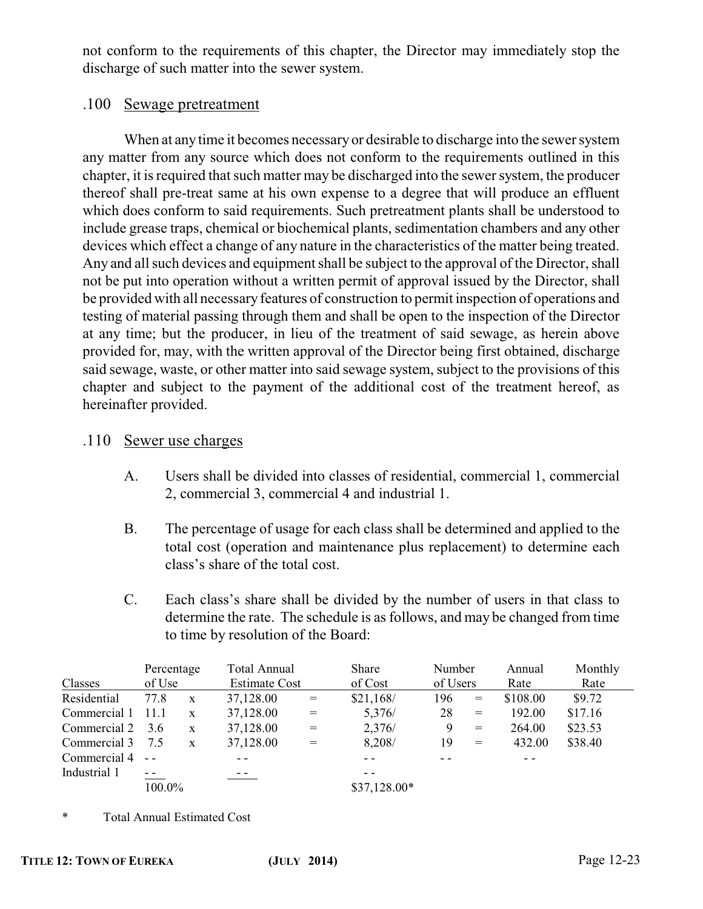not conform to the requirements of this chapter, the Director may immediately stop the discharge of such matter into the sewer system.

#### .100 Sewage pretreatment

When at any time it becomes necessary or desirable to discharge into the sewer system any matter from any source which does not conform to the requirements outlined in this chapter, it is required that such matter may be discharged into the sewer system, the producer thereof shall pre-treat same at his own expense to a degree that will produce an effluent which does conform to said requirements. Such pretreatment plants shall be understood to include grease traps, chemical or biochemical plants, sedimentation chambers and any other devices which effect a change of any nature in the characteristics of the matter being treated. Any and all such devices and equipment shall be subject to the approval of the Director, shall not be put into operation without a written permit of approval issued by the Director, shall be provided with all necessary features of construction to permit inspection of operations and testing of material passing through them and shall be open to the inspection of the Director at any time; but the producer, in lieu of the treatment of said sewage, as herein above provided for, may, with the written approval of the Director being first obtained, discharge said sewage, waste, or other matter into said sewage system, subject to the provisions of this chapter and subject to the payment of the additional cost of the treatment hereof, as hereinafter provided.

#### .110 Sewer use charges

- A. Users shall be divided into classes of residential, commercial 1, commercial 2, commercial 3, commercial 4 and industrial 1.
- B. The percentage of usage for each class shall be determined and applied to the total cost (operation and maintenance plus replacement) to determine each class's share of the total cost.
- C. Each class's share shall be divided by the number of users in that class to determine the rate. The schedule is as follows, and may be changed from time to time by resolution of the Board:

|                 | Percentage     |              | Total Annual         |                                     | Share         | Number   |                                     | Annual   | Monthly |
|-----------------|----------------|--------------|----------------------|-------------------------------------|---------------|----------|-------------------------------------|----------|---------|
| Classes         | of Use         |              | <b>Estimate Cost</b> |                                     | of Cost       | of Users |                                     | Rate     | Rate    |
| Residential     | 77.8           | $\mathbf{X}$ | 37,128.00            | $\!=$                               | \$21,168/     | 196      | $=$                                 | \$108.00 | \$9.72  |
| Commercial 1    | 11.1           | $\mathbf{x}$ | 37,128.00            | $\hspace*{0.4em} = \hspace*{0.4em}$ | 5,376/        | 28       | $\hspace*{0.4em} = \hspace*{0.4em}$ | 192.00   | \$17.16 |
| Commercial 2    | 3.6            | X            | 37,128.00            | $\hspace*{0.2cm} = \hspace*{0.2cm}$ | 2,376/        | 9        | $\hspace*{0.2cm} = \hspace*{0.2cm}$ | 264.00   | \$23.53 |
| Commercial 3    | 7.5            | $\mathbf{x}$ | 37,128.00            | $=$                                 | 8,208/        | 19       | $\!\!\!=\!\!\!\!$                   | 432.00   | \$38.40 |
| Commercial 4 -- |                |              |                      |                                     |               |          |                                     |          |         |
| Industrial 1    | $\sim$ $ \sim$ |              |                      |                                     |               |          |                                     |          |         |
|                 | 100.0%         |              |                      |                                     | $$37,128.00*$ |          |                                     |          |         |

\* Total Annual Estimated Cost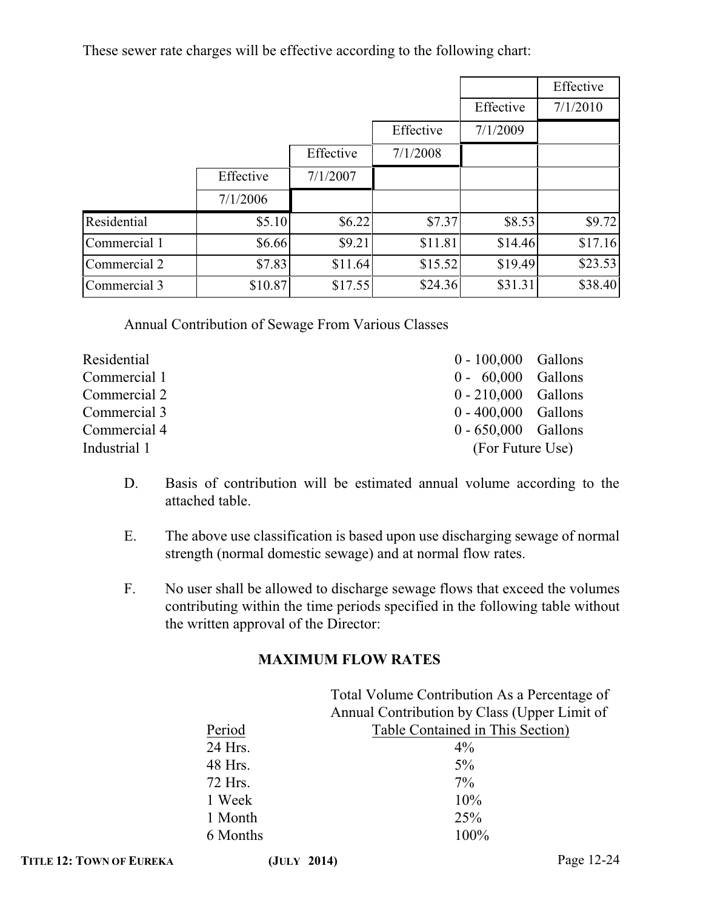These sewer rate charges will be effective according to the following chart:

|              |           |           |           |           | Effective |
|--------------|-----------|-----------|-----------|-----------|-----------|
|              |           |           |           | Effective | 7/1/2010  |
|              |           |           | Effective | 7/1/2009  |           |
|              |           | Effective | 7/1/2008  |           |           |
|              | Effective | 7/1/2007  |           |           |           |
|              | 7/1/2006  |           |           |           |           |
| Residential  | \$5.10    | \$6.22    | \$7.37    | \$8.53    | \$9.72    |
| Commercial 1 | \$6.66    | \$9.21    | \$11.81   | \$14.46   | \$17.16   |
| Commercial 2 | \$7.83    | \$11.64   | \$15.52   | \$19.49   | \$23.53   |
| Commercial 3 | \$10.87   | \$17.55   | \$24.36   | \$31.31   | \$38.40   |

Annual Contribution of Sewage From Various Classes

| Residential  | $0 - 100,000$ Gallons |  |
|--------------|-----------------------|--|
| Commercial 1 | $0 - 60,000$ Gallons  |  |
| Commercial 2 | $0 - 210,000$ Gallons |  |
| Commercial 3 | $0 - 400,000$ Gallons |  |
| Commercial 4 | $0 - 650,000$ Gallons |  |
| Industrial 1 | (For Future Use)      |  |

- D. Basis of contribution will be estimated annual volume according to the attached table.
- E. The above use classification is based upon use discharging sewage of normal strength (normal domestic sewage) and at normal flow rates.
- F. No user shall be allowed to discharge sewage flows that exceed the volumes contributing within the time periods specified in the following table without the written approval of the Director:

### **MAXIMUM FLOW RATES**

|          | Total Volume Contribution As a Percentage of |
|----------|----------------------------------------------|
|          | Annual Contribution by Class (Upper Limit of |
| Period   | Table Contained in This Section)             |
| 24 Hrs.  | $4\%$                                        |
| 48 Hrs.  | $5\%$                                        |
| 72 Hrs.  | $7\%$                                        |
| 1 Week   | 10%                                          |
| 1 Month  | 25%                                          |
| 6 Months | 100%                                         |
|          |                                              |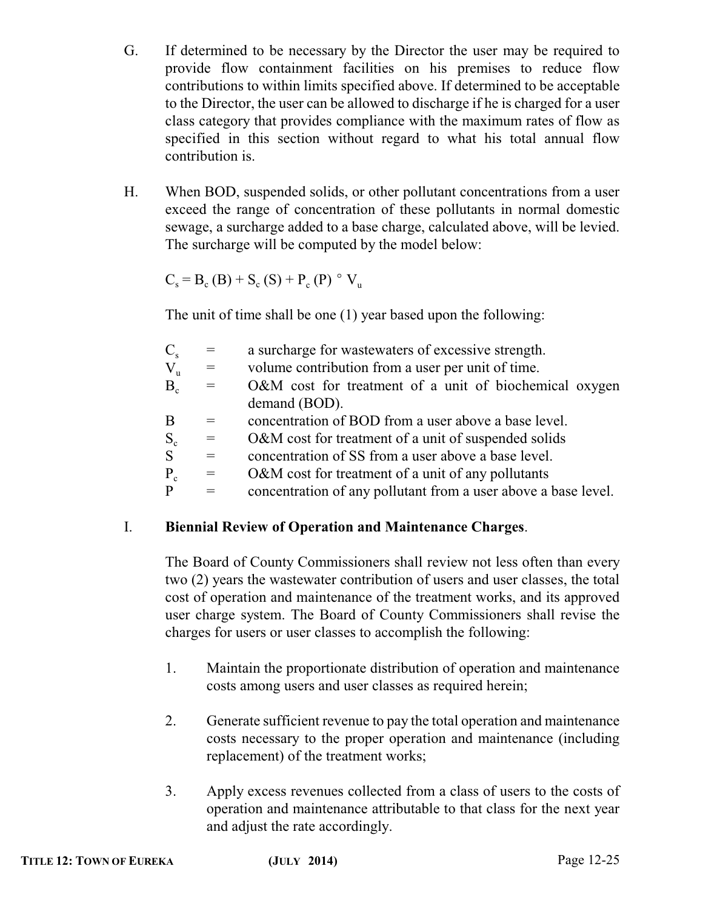- G. If determined to be necessary by the Director the user may be required to provide flow containment facilities on his premises to reduce flow contributions to within limits specified above. If determined to be acceptable to the Director, the user can be allowed to discharge if he is charged for a user class category that provides compliance with the maximum rates of flow as specified in this section without regard to what his total annual flow contribution is.
- H. When BOD, suspended solids, or other pollutant concentrations from a user exceed the range of concentration of these pollutants in normal domestic sewage, a surcharge added to a base charge, calculated above, will be levied. The surcharge will be computed by the model below:

 $C_s = B_c (B) + S_c (S) + P_c (P)$  ° V<sub>u</sub>

The unit of time shall be one (1) year based upon the following:

| $C_{\rm s}$    | $=$      | a surcharge for wastewaters of excessive strength.             |
|----------------|----------|----------------------------------------------------------------|
| $V_{\rm u}$    | $=$ $\,$ | volume contribution from a user per unit of time.              |
| B <sub>c</sub> | $=$      | O&M cost for treatment of a unit of biochemical oxygen         |
|                |          | demand (BOD).                                                  |
| B              | $=$      | concentration of BOD from a user above a base level.           |
| $S_c$          | $=$      | O&M cost for treatment of a unit of suspended solids           |
| S              | $=$      | concentration of SS from a user above a base level.            |
| $P_c$          | $=$      | O&M cost for treatment of a unit of any pollutants             |
| P              | $=$      | concentration of any pollutant from a user above a base level. |
|                |          |                                                                |

### I. **Biennial Review of Operation and Maintenance Charges**.

The Board of County Commissioners shall review not less often than every two (2) years the wastewater contribution of users and user classes, the total cost of operation and maintenance of the treatment works, and its approved user charge system. The Board of County Commissioners shall revise the charges for users or user classes to accomplish the following:

- 1. Maintain the proportionate distribution of operation and maintenance costs among users and user classes as required herein;
- 2. Generate sufficient revenue to pay the total operation and maintenance costs necessary to the proper operation and maintenance (including replacement) of the treatment works;
- 3. Apply excess revenues collected from a class of users to the costs of operation and maintenance attributable to that class for the next year and adjust the rate accordingly.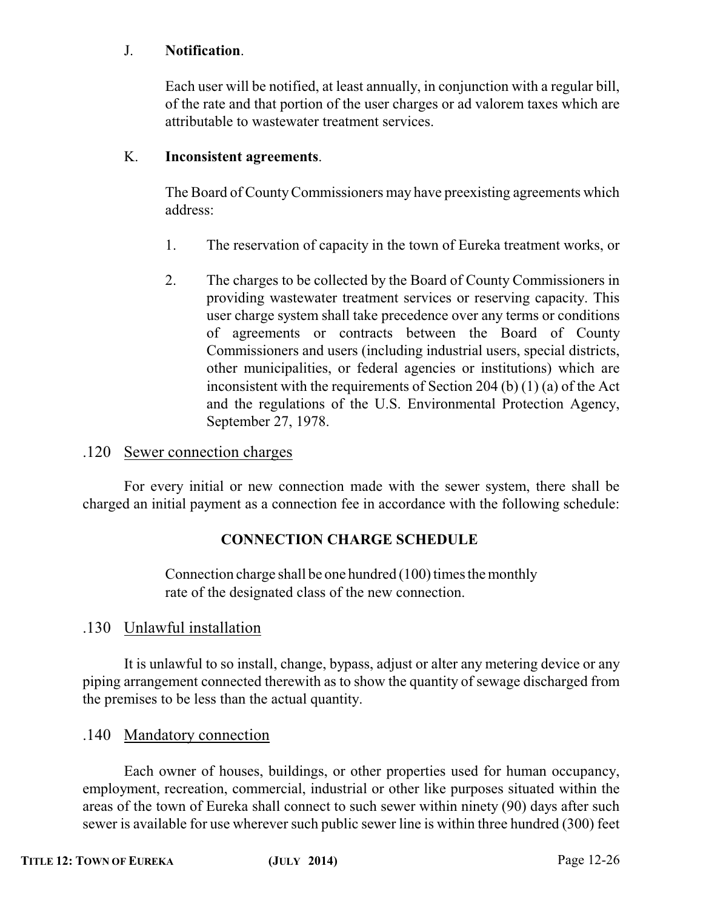#### J. **Notification**.

Each user will be notified, at least annually, in conjunction with a regular bill, of the rate and that portion of the user charges or ad valorem taxes which are attributable to wastewater treatment services.

#### K. **Inconsistent agreements**.

The Board of CountyCommissioners may have preexisting agreements which address:

- 1. The reservation of capacity in the town of Eureka treatment works, or
- 2. The charges to be collected by the Board of County Commissioners in providing wastewater treatment services or reserving capacity. This user charge system shall take precedence over any terms or conditions of agreements or contracts between the Board of County Commissioners and users (including industrial users, special districts, other municipalities, or federal agencies or institutions) which are inconsistent with the requirements of Section 204 (b) (1) (a) of the Act and the regulations of the U.S. Environmental Protection Agency, September 27, 1978.

#### .120 Sewer connection charges

For every initial or new connection made with the sewer system, there shall be charged an initial payment as a connection fee in accordance with the following schedule:

### **CONNECTION CHARGE SCHEDULE**

Connection charge shall be one hundred (100) times the monthly rate of the designated class of the new connection.

### .130 Unlawful installation

It is unlawful to so install, change, bypass, adjust or alter any metering device or any piping arrangement connected therewith as to show the quantity of sewage discharged from the premises to be less than the actual quantity.

### .140 Mandatory connection

Each owner of houses, buildings, or other properties used for human occupancy, employment, recreation, commercial, industrial or other like purposes situated within the areas of the town of Eureka shall connect to such sewer within ninety (90) days after such sewer is available for use wherever such public sewer line is within three hundred (300) feet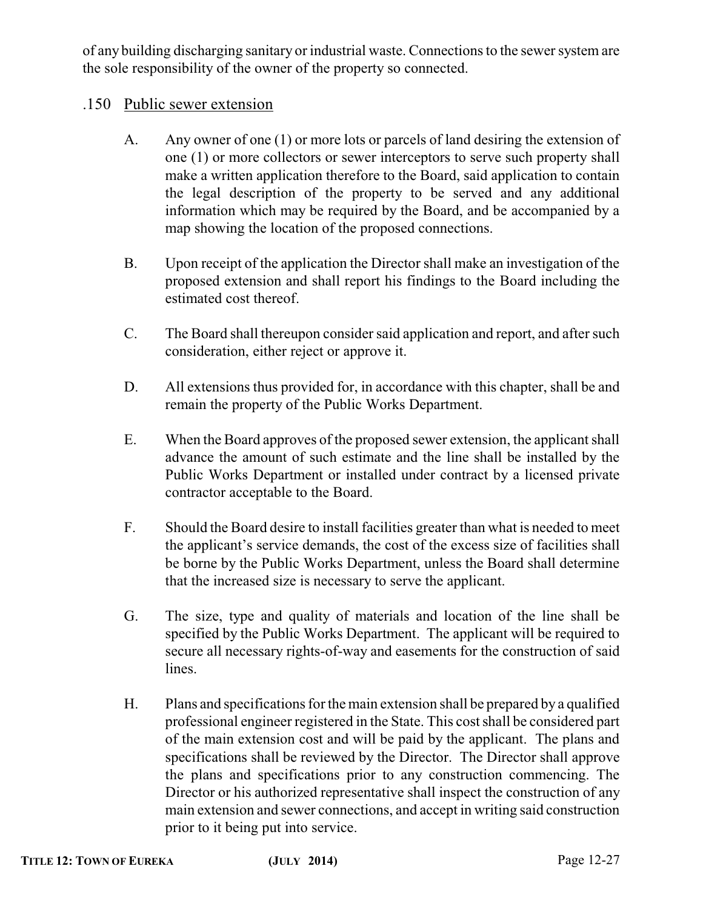of any building discharging sanitary or industrial waste. Connections to the sewer system are the sole responsibility of the owner of the property so connected.

### .150 Public sewer extension

- A. Any owner of one (1) or more lots or parcels of land desiring the extension of one (1) or more collectors or sewer interceptors to serve such property shall make a written application therefore to the Board, said application to contain the legal description of the property to be served and any additional information which may be required by the Board, and be accompanied by a map showing the location of the proposed connections.
- B. Upon receipt of the application the Director shall make an investigation of the proposed extension and shall report his findings to the Board including the estimated cost thereof.
- C. The Board shall thereupon consider said application and report, and after such consideration, either reject or approve it.
- D. All extensions thus provided for, in accordance with this chapter, shall be and remain the property of the Public Works Department.
- E. When the Board approves of the proposed sewer extension, the applicant shall advance the amount of such estimate and the line shall be installed by the Public Works Department or installed under contract by a licensed private contractor acceptable to the Board.
- F. Should the Board desire to install facilities greater than what is needed to meet the applicant's service demands, the cost of the excess size of facilities shall be borne by the Public Works Department, unless the Board shall determine that the increased size is necessary to serve the applicant.
- G. The size, type and quality of materials and location of the line shall be specified by the Public Works Department. The applicant will be required to secure all necessary rights-of-way and easements for the construction of said lines.
- H. Plans and specifications for the main extension shall be prepared by a qualified professional engineer registered in the State. This cost shall be considered part of the main extension cost and will be paid by the applicant. The plans and specifications shall be reviewed by the Director. The Director shall approve the plans and specifications prior to any construction commencing. The Director or his authorized representative shall inspect the construction of any main extension and sewer connections, and accept in writing said construction prior to it being put into service.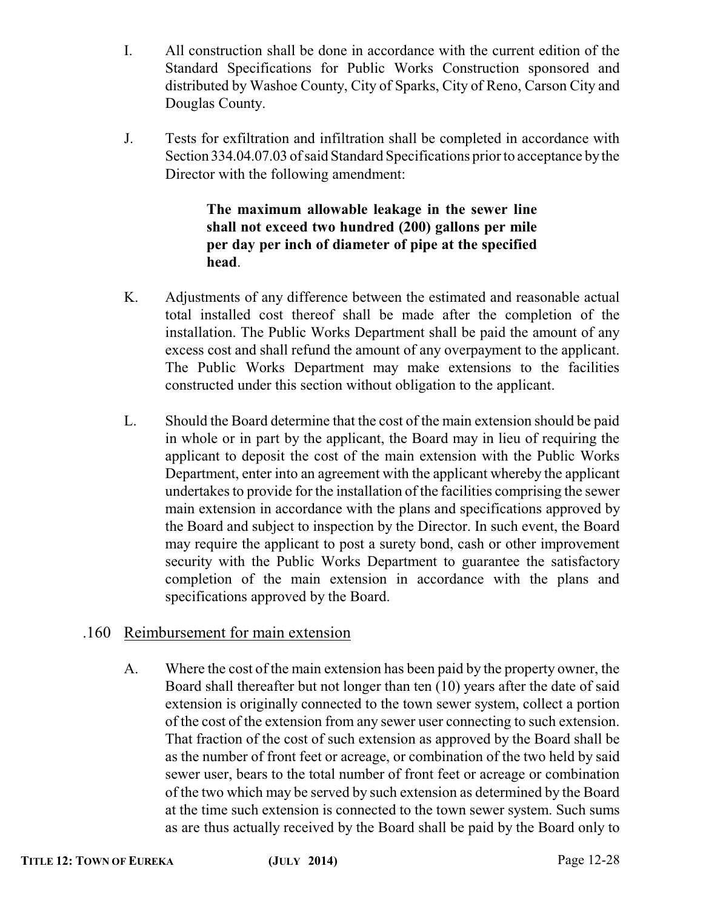- I. All construction shall be done in accordance with the current edition of the Standard Specifications for Public Works Construction sponsored and distributed by Washoe County, City of Sparks, City of Reno, Carson City and Douglas County.
- J. Tests for exfiltration and infiltration shall be completed in accordance with Section 334.04.07.03 of said Standard Specifications prior to acceptance by the Director with the following amendment:

### **The maximum allowable leakage in the sewer line shall not exceed two hundred (200) gallons per mile per day per inch of diameter of pipe at the specified head**.

- K. Adjustments of any difference between the estimated and reasonable actual total installed cost thereof shall be made after the completion of the installation. The Public Works Department shall be paid the amount of any excess cost and shall refund the amount of any overpayment to the applicant. The Public Works Department may make extensions to the facilities constructed under this section without obligation to the applicant.
- L. Should the Board determine that the cost of the main extension should be paid in whole or in part by the applicant, the Board may in lieu of requiring the applicant to deposit the cost of the main extension with the Public Works Department, enter into an agreement with the applicant whereby the applicant undertakes to provide for the installation of the facilities comprising the sewer main extension in accordance with the plans and specifications approved by the Board and subject to inspection by the Director. In such event, the Board may require the applicant to post a surety bond, cash or other improvement security with the Public Works Department to guarantee the satisfactory completion of the main extension in accordance with the plans and specifications approved by the Board.

### .160 Reimbursement for main extension

A. Where the cost of the main extension has been paid by the property owner, the Board shall thereafter but not longer than ten (10) years after the date of said extension is originally connected to the town sewer system, collect a portion of the cost of the extension from any sewer user connecting to such extension. That fraction of the cost of such extension as approved by the Board shall be as the number of front feet or acreage, or combination of the two held by said sewer user, bears to the total number of front feet or acreage or combination of the two which may be served by such extension as determined by the Board at the time such extension is connected to the town sewer system. Such sums as are thus actually received by the Board shall be paid by the Board only to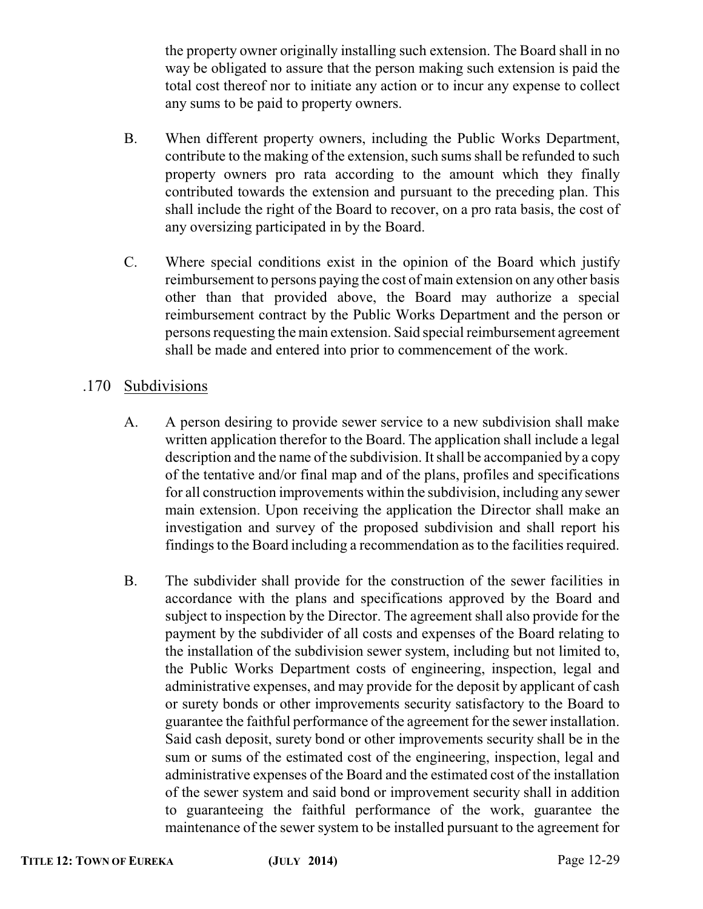the property owner originally installing such extension. The Board shall in no way be obligated to assure that the person making such extension is paid the total cost thereof nor to initiate any action or to incur any expense to collect any sums to be paid to property owners.

- B. When different property owners, including the Public Works Department, contribute to the making of the extension, such sums shall be refunded to such property owners pro rata according to the amount which they finally contributed towards the extension and pursuant to the preceding plan. This shall include the right of the Board to recover, on a pro rata basis, the cost of any oversizing participated in by the Board.
- C. Where special conditions exist in the opinion of the Board which justify reimbursement to persons paying the cost of main extension on any other basis other than that provided above, the Board may authorize a special reimbursement contract by the Public Works Department and the person or persons requesting the main extension. Said special reimbursement agreement shall be made and entered into prior to commencement of the work.

### .170 Subdivisions

- A. A person desiring to provide sewer service to a new subdivision shall make written application therefor to the Board. The application shall include a legal description and the name of the subdivision. It shall be accompanied by a copy of the tentative and/or final map and of the plans, profiles and specifications for all construction improvements within the subdivision, including any sewer main extension. Upon receiving the application the Director shall make an investigation and survey of the proposed subdivision and shall report his findings to the Board including a recommendation as to the facilities required.
- B. The subdivider shall provide for the construction of the sewer facilities in accordance with the plans and specifications approved by the Board and subject to inspection by the Director. The agreement shall also provide for the payment by the subdivider of all costs and expenses of the Board relating to the installation of the subdivision sewer system, including but not limited to, the Public Works Department costs of engineering, inspection, legal and administrative expenses, and may provide for the deposit by applicant of cash or surety bonds or other improvements security satisfactory to the Board to guarantee the faithful performance of the agreement for the sewer installation. Said cash deposit, surety bond or other improvements security shall be in the sum or sums of the estimated cost of the engineering, inspection, legal and administrative expenses of the Board and the estimated cost of the installation of the sewer system and said bond or improvement security shall in addition to guaranteeing the faithful performance of the work, guarantee the maintenance of the sewer system to be installed pursuant to the agreement for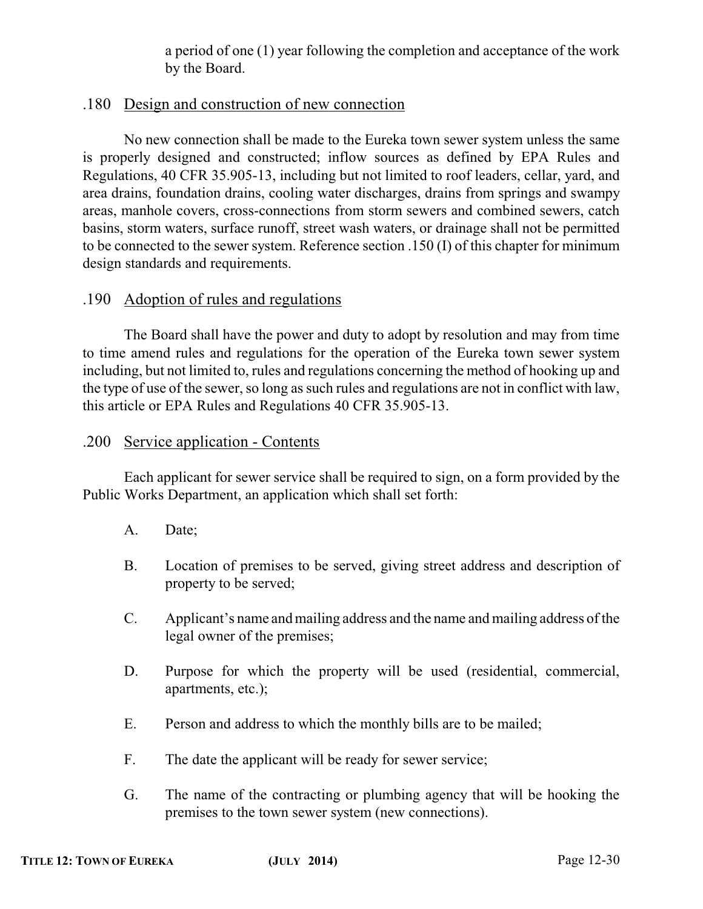a period of one (1) year following the completion and acceptance of the work by the Board.

### .180 Design and construction of new connection

No new connection shall be made to the Eureka town sewer system unless the same is properly designed and constructed; inflow sources as defined by EPA Rules and Regulations, 40 CFR 35.905-13, including but not limited to roof leaders, cellar, yard, and area drains, foundation drains, cooling water discharges, drains from springs and swampy areas, manhole covers, cross-connections from storm sewers and combined sewers, catch basins, storm waters, surface runoff, street wash waters, or drainage shall not be permitted to be connected to the sewer system. Reference section .150 (I) of this chapter for minimum design standards and requirements.

### .190 Adoption of rules and regulations

The Board shall have the power and duty to adopt by resolution and may from time to time amend rules and regulations for the operation of the Eureka town sewer system including, but not limited to, rules and regulations concerning the method of hooking up and the type of use of the sewer, so long as such rules and regulations are not in conflict with law, this article or EPA Rules and Regulations 40 CFR 35.905-13.

### .200 Service application - Contents

Each applicant for sewer service shall be required to sign, on a form provided by the Public Works Department, an application which shall set forth:

- A. Date;
- B. Location of premises to be served, giving street address and description of property to be served;
- C. Applicant's name and mailing address and the name and mailing address of the legal owner of the premises;
- D. Purpose for which the property will be used (residential, commercial, apartments, etc.);
- E. Person and address to which the monthly bills are to be mailed;
- F. The date the applicant will be ready for sewer service;
- G. The name of the contracting or plumbing agency that will be hooking the premises to the town sewer system (new connections).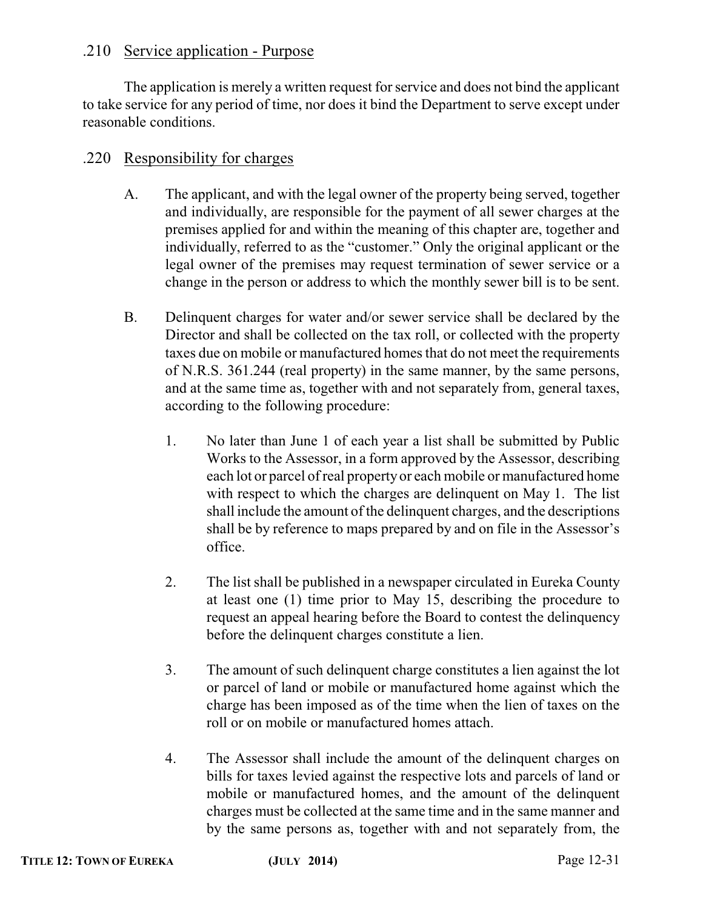### .210 Service application - Purpose

The application is merely a written request for service and does not bind the applicant to take service for any period of time, nor does it bind the Department to serve except under reasonable conditions.

### .220 Responsibility for charges

- A. The applicant, and with the legal owner of the property being served, together and individually, are responsible for the payment of all sewer charges at the premises applied for and within the meaning of this chapter are, together and individually, referred to as the "customer." Only the original applicant or the legal owner of the premises may request termination of sewer service or a change in the person or address to which the monthly sewer bill is to be sent.
- B. Delinquent charges for water and/or sewer service shall be declared by the Director and shall be collected on the tax roll, or collected with the property taxes due on mobile or manufactured homes that do not meet the requirements of N.R.S. 361.244 (real property) in the same manner, by the same persons, and at the same time as, together with and not separately from, general taxes, according to the following procedure:
	- 1. No later than June 1 of each year a list shall be submitted by Public Works to the Assessor, in a form approved by the Assessor, describing each lot or parcel of real property or each mobile or manufactured home with respect to which the charges are delinquent on May 1. The list shall include the amount of the delinquent charges, and the descriptions shall be by reference to maps prepared by and on file in the Assessor's office.
	- 2. The list shall be published in a newspaper circulated in Eureka County at least one (1) time prior to May 15, describing the procedure to request an appeal hearing before the Board to contest the delinquency before the delinquent charges constitute a lien.
	- 3. The amount of such delinquent charge constitutes a lien against the lot or parcel of land or mobile or manufactured home against which the charge has been imposed as of the time when the lien of taxes on the roll or on mobile or manufactured homes attach.
	- 4. The Assessor shall include the amount of the delinquent charges on bills for taxes levied against the respective lots and parcels of land or mobile or manufactured homes, and the amount of the delinquent charges must be collected at the same time and in the same manner and by the same persons as, together with and not separately from, the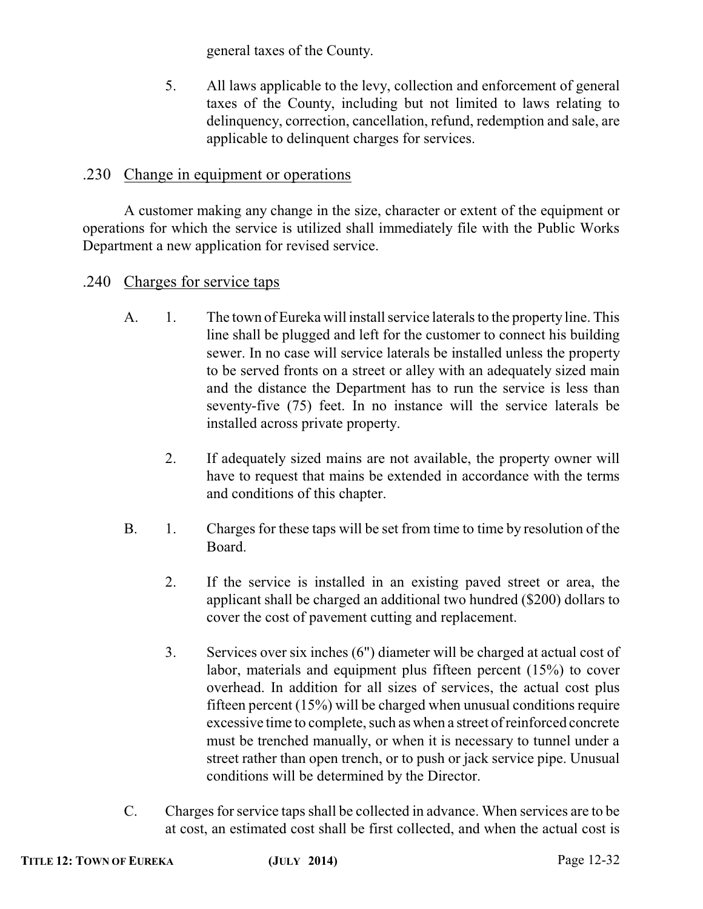general taxes of the County.

5. All laws applicable to the levy, collection and enforcement of general taxes of the County, including but not limited to laws relating to delinquency, correction, cancellation, refund, redemption and sale, are applicable to delinquent charges for services.

### .230 Change in equipment or operations

A customer making any change in the size, character or extent of the equipment or operations for which the service is utilized shall immediately file with the Public Works Department a new application for revised service.

- .240 Charges for service taps
	- A. 1. The town of Eureka will install service laterals to the property line. This line shall be plugged and left for the customer to connect his building sewer. In no case will service laterals be installed unless the property to be served fronts on a street or alley with an adequately sized main and the distance the Department has to run the service is less than seventy-five (75) feet. In no instance will the service laterals be installed across private property.
		- 2. If adequately sized mains are not available, the property owner will have to request that mains be extended in accordance with the terms and conditions of this chapter.
	- B. 1. Charges for these taps will be set from time to time by resolution of the Board.
		- 2. If the service is installed in an existing paved street or area, the applicant shall be charged an additional two hundred (\$200) dollars to cover the cost of pavement cutting and replacement.
		- 3. Services over six inches (6") diameter will be charged at actual cost of labor, materials and equipment plus fifteen percent (15%) to cover overhead. In addition for all sizes of services, the actual cost plus fifteen percent (15%) will be charged when unusual conditions require excessive time to complete, such as when a street of reinforced concrete must be trenched manually, or when it is necessary to tunnel under a street rather than open trench, or to push or jack service pipe. Unusual conditions will be determined by the Director.
	- C. Charges for service taps shall be collected in advance. When services are to be at cost, an estimated cost shall be first collected, and when the actual cost is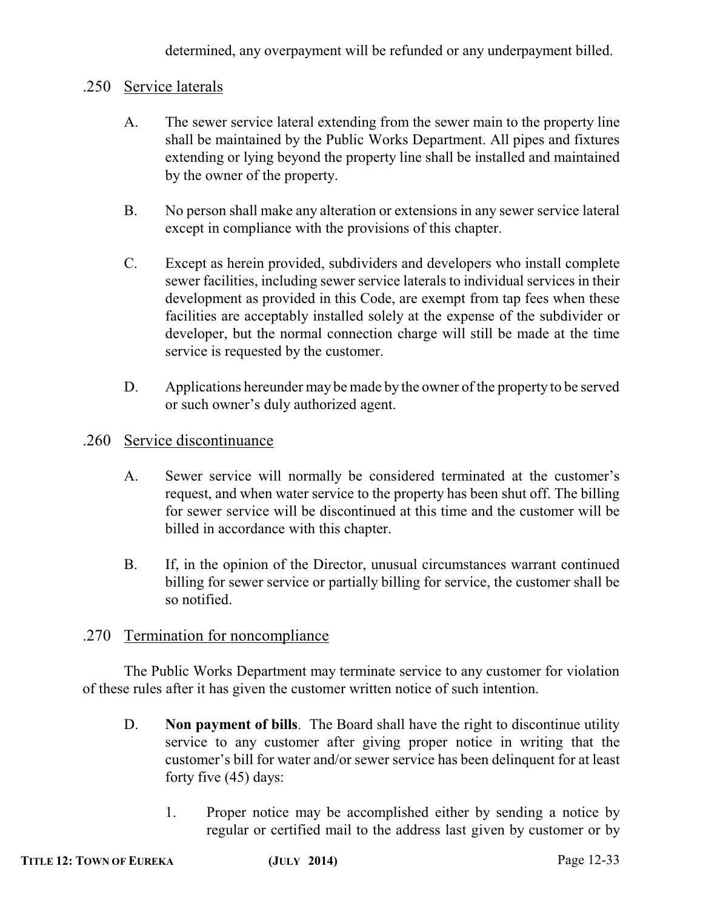determined, any overpayment will be refunded or any underpayment billed.

### .250 Service laterals

- A. The sewer service lateral extending from the sewer main to the property line shall be maintained by the Public Works Department. All pipes and fixtures extending or lying beyond the property line shall be installed and maintained by the owner of the property.
- B. No person shall make any alteration or extensions in any sewer service lateral except in compliance with the provisions of this chapter.
- C. Except as herein provided, subdividers and developers who install complete sewer facilities, including sewer service laterals to individual services in their development as provided in this Code, are exempt from tap fees when these facilities are acceptably installed solely at the expense of the subdivider or developer, but the normal connection charge will still be made at the time service is requested by the customer.
- D. Applications hereunder may be made by the owner of the property to be served or such owner's duly authorized agent.

#### .260 Service discontinuance

- A. Sewer service will normally be considered terminated at the customer's request, and when water service to the property has been shut off. The billing for sewer service will be discontinued at this time and the customer will be billed in accordance with this chapter.
- B. If, in the opinion of the Director, unusual circumstances warrant continued billing for sewer service or partially billing for service, the customer shall be so notified.

### .270 Termination for noncompliance

The Public Works Department may terminate service to any customer for violation of these rules after it has given the customer written notice of such intention.

- D. **Non payment of bills**. The Board shall have the right to discontinue utility service to any customer after giving proper notice in writing that the customer's bill for water and/or sewer service has been delinquent for at least forty five (45) days:
	- 1. Proper notice may be accomplished either by sending a notice by regular or certified mail to the address last given by customer or by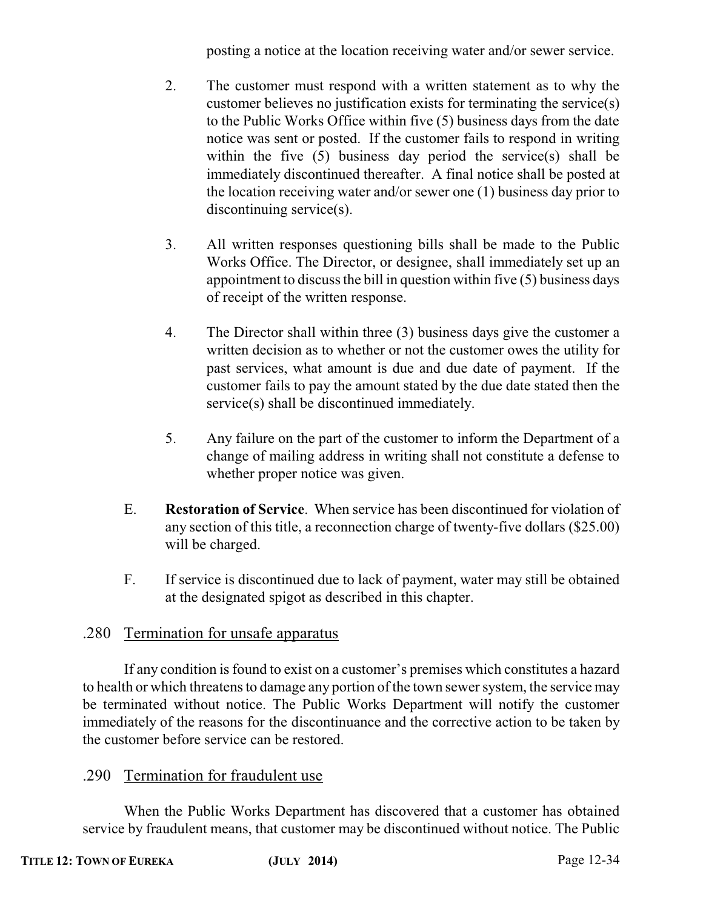posting a notice at the location receiving water and/or sewer service.

- 2. The customer must respond with a written statement as to why the customer believes no justification exists for terminating the service(s) to the Public Works Office within five (5) business days from the date notice was sent or posted. If the customer fails to respond in writing within the five (5) business day period the service(s) shall be immediately discontinued thereafter. A final notice shall be posted at the location receiving water and/or sewer one (1) business day prior to discontinuing service(s).
- 3. All written responses questioning bills shall be made to the Public Works Office. The Director, or designee, shall immediately set up an appointment to discuss the bill in question within five (5) business days of receipt of the written response.
- 4. The Director shall within three (3) business days give the customer a written decision as to whether or not the customer owes the utility for past services, what amount is due and due date of payment. If the customer fails to pay the amount stated by the due date stated then the service(s) shall be discontinued immediately.
- 5. Any failure on the part of the customer to inform the Department of a change of mailing address in writing shall not constitute a defense to whether proper notice was given.
- E. **Restoration of Service**. When service has been discontinued for violation of any section of this title, a reconnection charge of twenty-five dollars (\$25.00) will be charged.
- F. If service is discontinued due to lack of payment, water may still be obtained at the designated spigot as described in this chapter.

### .280 Termination for unsafe apparatus

If any condition is found to exist on a customer's premises which constitutes a hazard to health or which threatens to damage any portion of the town sewer system, the service may be terminated without notice. The Public Works Department will notify the customer immediately of the reasons for the discontinuance and the corrective action to be taken by the customer before service can be restored.

### .290 Termination for fraudulent use

When the Public Works Department has discovered that a customer has obtained service by fraudulent means, that customer may be discontinued without notice. The Public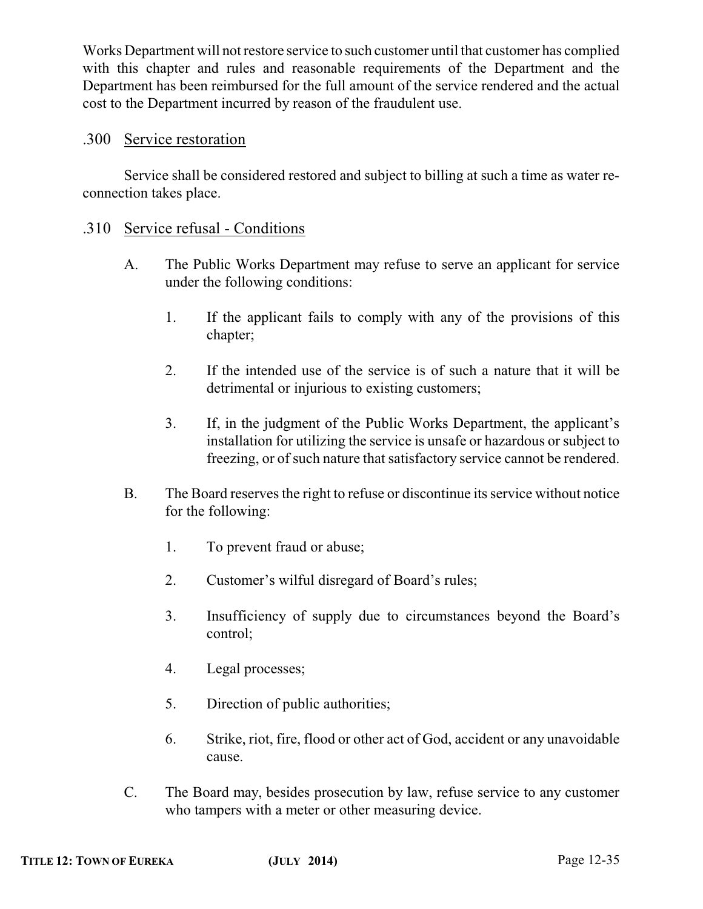Works Department will not restore service to such customer until that customer has complied with this chapter and rules and reasonable requirements of the Department and the Department has been reimbursed for the full amount of the service rendered and the actual cost to the Department incurred by reason of the fraudulent use.

### .300 Service restoration

Service shall be considered restored and subject to billing at such a time as water reconnection takes place.

#### .310 Service refusal - Conditions

- A. The Public Works Department may refuse to serve an applicant for service under the following conditions:
	- 1. If the applicant fails to comply with any of the provisions of this chapter;
	- 2. If the intended use of the service is of such a nature that it will be detrimental or injurious to existing customers;
	- 3. If, in the judgment of the Public Works Department, the applicant's installation for utilizing the service is unsafe or hazardous or subject to freezing, or of such nature that satisfactory service cannot be rendered.
- B. The Board reserves the right to refuse or discontinue its service without notice for the following:
	- 1. To prevent fraud or abuse;
	- 2. Customer's wilful disregard of Board's rules;
	- 3. Insufficiency of supply due to circumstances beyond the Board's control;
	- 4. Legal processes;
	- 5. Direction of public authorities;
	- 6. Strike, riot, fire, flood or other act of God, accident or any unavoidable cause.
- C. The Board may, besides prosecution by law, refuse service to any customer who tampers with a meter or other measuring device.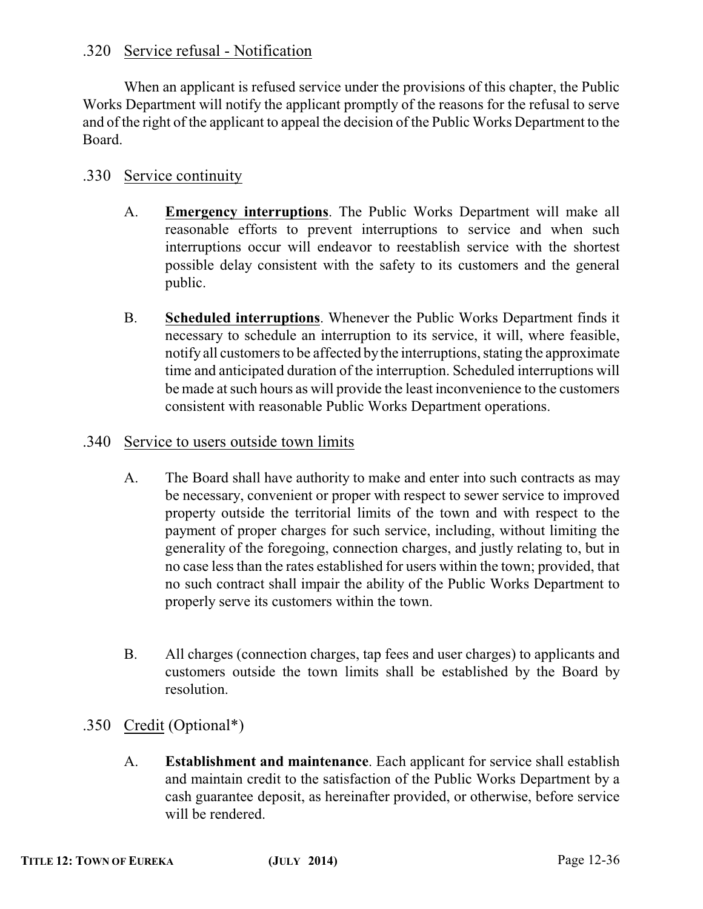### .320 Service refusal - Notification

When an applicant is refused service under the provisions of this chapter, the Public Works Department will notify the applicant promptly of the reasons for the refusal to serve and of the right of the applicant to appeal the decision of the Public Works Department to the Board.

### .330 Service continuity

- A. **Emergency interruptions**. The Public Works Department will make all reasonable efforts to prevent interruptions to service and when such interruptions occur will endeavor to reestablish service with the shortest possible delay consistent with the safety to its customers and the general public.
- B. **Scheduled interruptions**. Whenever the Public Works Department finds it necessary to schedule an interruption to its service, it will, where feasible, notify all customers to be affected by the interruptions, stating the approximate time and anticipated duration of the interruption. Scheduled interruptions will be made at such hours as will provide the least inconvenience to the customers consistent with reasonable Public Works Department operations.

#### .340 Service to users outside town limits

- A. The Board shall have authority to make and enter into such contracts as may be necessary, convenient or proper with respect to sewer service to improved property outside the territorial limits of the town and with respect to the payment of proper charges for such service, including, without limiting the generality of the foregoing, connection charges, and justly relating to, but in no case less than the rates established for users within the town; provided, that no such contract shall impair the ability of the Public Works Department to properly serve its customers within the town.
- B. All charges (connection charges, tap fees and user charges) to applicants and customers outside the town limits shall be established by the Board by resolution.
- .350 Credit (Optional\*)
	- A. **Establishment and maintenance**. Each applicant for service shall establish and maintain credit to the satisfaction of the Public Works Department by a cash guarantee deposit, as hereinafter provided, or otherwise, before service will be rendered.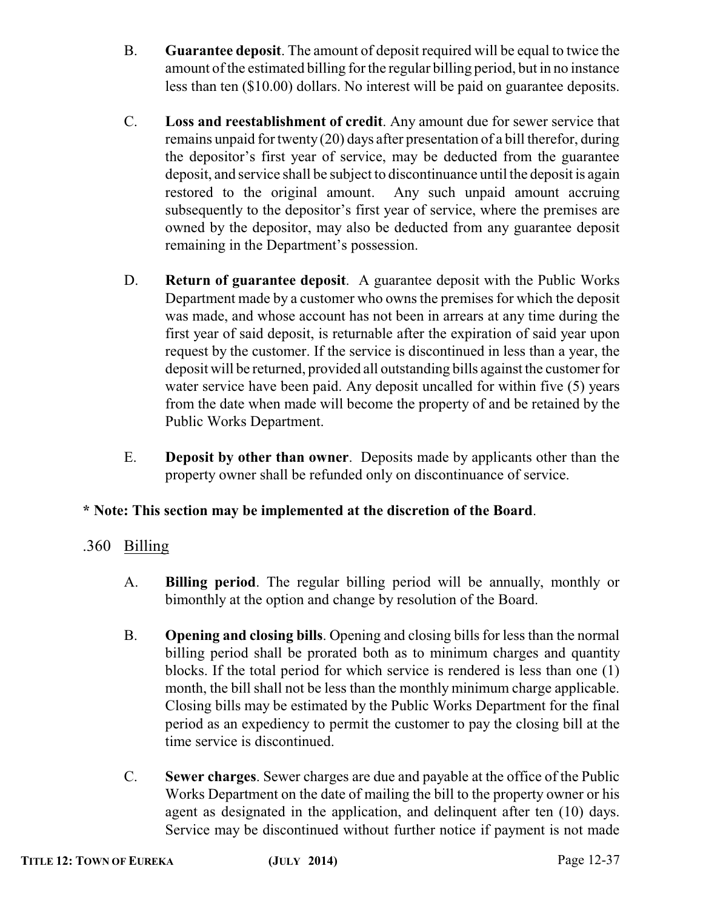- B. **Guarantee deposit**. The amount of deposit required will be equal to twice the amount of the estimated billing for the regular billing period, but in no instance less than ten (\$10.00) dollars. No interest will be paid on guarantee deposits.
- C. **Loss and reestablishment of credit**. Any amount due for sewer service that remains unpaid for twenty (20) days after presentation of a bill therefor, during the depositor's first year of service, may be deducted from the guarantee deposit, and service shall be subject to discontinuance until the deposit is again restored to the original amount. Any such unpaid amount accruing subsequently to the depositor's first year of service, where the premises are owned by the depositor, may also be deducted from any guarantee deposit remaining in the Department's possession.
- D. **Return of guarantee deposit**. A guarantee deposit with the Public Works Department made by a customer who owns the premises for which the deposit was made, and whose account has not been in arrears at any time during the first year of said deposit, is returnable after the expiration of said year upon request by the customer. If the service is discontinued in less than a year, the deposit will be returned, provided all outstanding bills against the customer for water service have been paid. Any deposit uncalled for within five (5) years from the date when made will become the property of and be retained by the Public Works Department.
- E. **Deposit by other than owner**. Deposits made by applicants other than the property owner shall be refunded only on discontinuance of service.

### **\* Note: This section may be implemented at the discretion of the Board**.

- .360 Billing
	- A. **Billing period**. The regular billing period will be annually, monthly or bimonthly at the option and change by resolution of the Board.
	- B. **Opening and closing bills**. Opening and closing bills for less than the normal billing period shall be prorated both as to minimum charges and quantity blocks. If the total period for which service is rendered is less than one (1) month, the bill shall not be less than the monthly minimum charge applicable. Closing bills may be estimated by the Public Works Department for the final period as an expediency to permit the customer to pay the closing bill at the time service is discontinued.
	- C. **Sewer charges**. Sewer charges are due and payable at the office of the Public Works Department on the date of mailing the bill to the property owner or his agent as designated in the application, and delinquent after ten (10) days. Service may be discontinued without further notice if payment is not made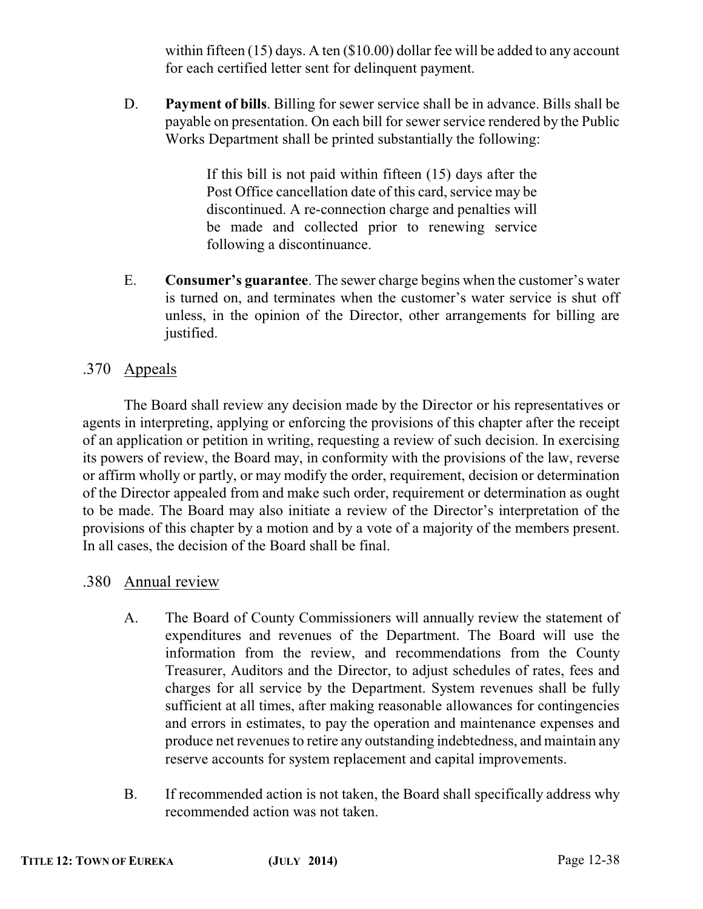within fifteen (15) days. A ten (\$10.00) dollar fee will be added to any account for each certified letter sent for delinquent payment.

D. **Payment of bills**. Billing for sewer service shall be in advance. Bills shall be payable on presentation. On each bill for sewer service rendered by the Public Works Department shall be printed substantially the following:

> If this bill is not paid within fifteen (15) days after the Post Office cancellation date of this card, service may be discontinued. A re-connection charge and penalties will be made and collected prior to renewing service following a discontinuance.

E. **Consumer's guarantee**. The sewer charge begins when the customer's water is turned on, and terminates when the customer's water service is shut off unless, in the opinion of the Director, other arrangements for billing are justified.

### .370 Appeals

The Board shall review any decision made by the Director or his representatives or agents in interpreting, applying or enforcing the provisions of this chapter after the receipt of an application or petition in writing, requesting a review of such decision. In exercising its powers of review, the Board may, in conformity with the provisions of the law, reverse or affirm wholly or partly, or may modify the order, requirement, decision or determination of the Director appealed from and make such order, requirement or determination as ought to be made. The Board may also initiate a review of the Director's interpretation of the provisions of this chapter by a motion and by a vote of a majority of the members present. In all cases, the decision of the Board shall be final.

.380 Annual review

- A. The Board of County Commissioners will annually review the statement of expenditures and revenues of the Department. The Board will use the information from the review, and recommendations from the County Treasurer, Auditors and the Director, to adjust schedules of rates, fees and charges for all service by the Department. System revenues shall be fully sufficient at all times, after making reasonable allowances for contingencies and errors in estimates, to pay the operation and maintenance expenses and produce net revenues to retire any outstanding indebtedness, and maintain any reserve accounts for system replacement and capital improvements.
- B. If recommended action is not taken, the Board shall specifically address why recommended action was not taken.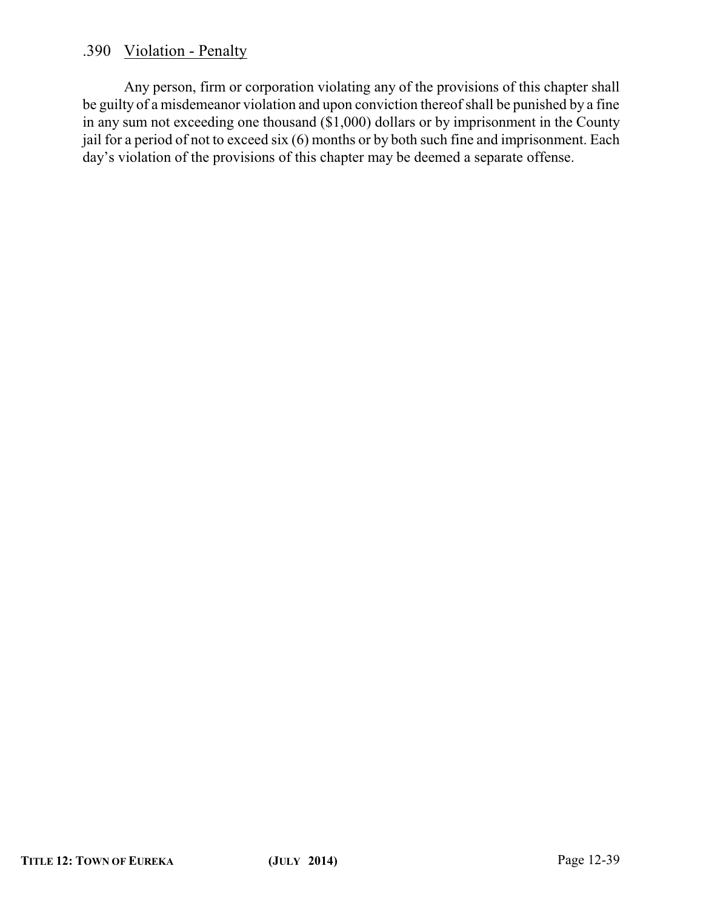### .390 Violation - Penalty

Any person, firm or corporation violating any of the provisions of this chapter shall be guilty of a misdemeanor violation and upon conviction thereof shall be punished by a fine in any sum not exceeding one thousand (\$1,000) dollars or by imprisonment in the County jail for a period of not to exceed six (6) months or by both such fine and imprisonment. Each day's violation of the provisions of this chapter may be deemed a separate offense.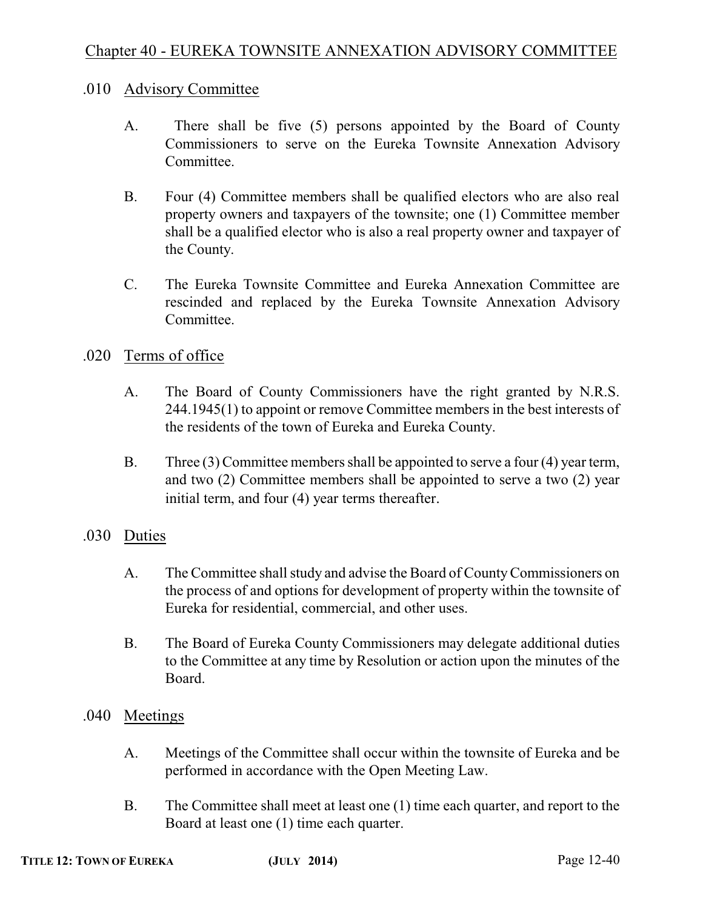### .010 Advisory Committee

- A. There shall be five (5) persons appointed by the Board of County Commissioners to serve on the Eureka Townsite Annexation Advisory **Committee**
- B. Four (4) Committee members shall be qualified electors who are also real property owners and taxpayers of the townsite; one (1) Committee member shall be a qualified elector who is also a real property owner and taxpayer of the County.
- C. The Eureka Townsite Committee and Eureka Annexation Committee are rescinded and replaced by the Eureka Townsite Annexation Advisory Committee.

### .020 Terms of office

- A. The Board of County Commissioners have the right granted by N.R.S. 244.1945(1) to appoint or remove Committee members in the best interests of the residents of the town of Eureka and Eureka County.
- B. Three (3) Committee members shall be appointed to serve a four (4) year term, and two (2) Committee members shall be appointed to serve a two (2) year initial term, and four (4) year terms thereafter.

### .030 Duties

- A. The Committee shall study and advise the Board of County Commissioners on the process of and options for development of property within the townsite of Eureka for residential, commercial, and other uses.
- B. The Board of Eureka County Commissioners may delegate additional duties to the Committee at any time by Resolution or action upon the minutes of the Board.
- .040 Meetings
	- A. Meetings of the Committee shall occur within the townsite of Eureka and be performed in accordance with the Open Meeting Law.
	- B. The Committee shall meet at least one (1) time each quarter, and report to the Board at least one (1) time each quarter.